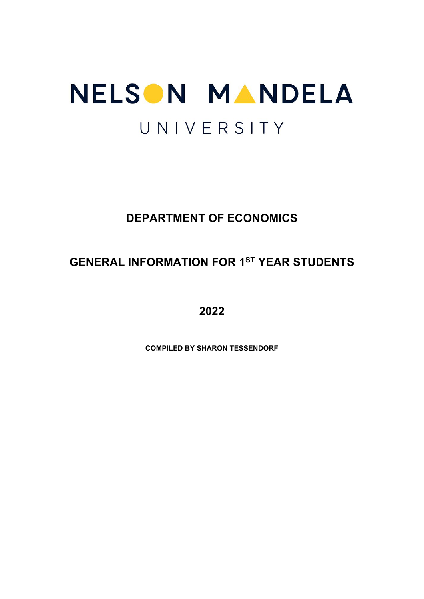# NELSON MANDELA UNIVERSITY

# **DEPARTMENT OF ECONOMICS**

# **GENERAL INFORMATION FOR 1ST YEAR STUDENTS**

**2022**

**COMPILED BY SHARON TESSENDORF**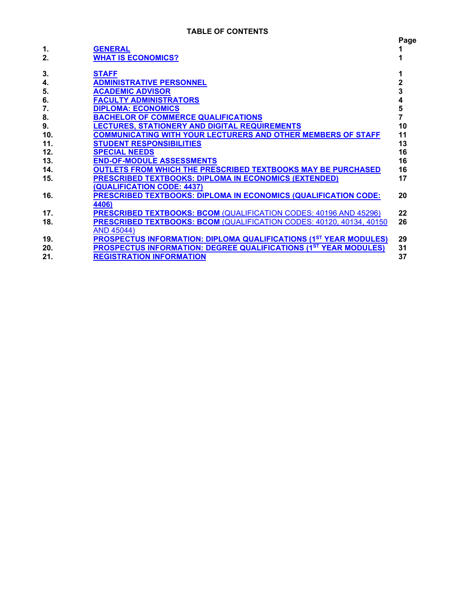| 1.  |                                                                          | Page |
|-----|--------------------------------------------------------------------------|------|
| 2.  | <b>GENERAL</b><br><b>WHAT IS ECONOMICS?</b>                              |      |
| 3.  | <b>STAFF</b>                                                             |      |
| 4.  | <b>ADMINISTRATIVE PERSONNEL</b>                                          | 2    |
| 5.  | <b>ACADEMIC ADVISOR</b>                                                  | 3    |
| 6.  | <b>FACULTY ADMINISTRATORS</b>                                            | 4    |
| 7.  | <b>DIPLOMA: ECONOMICS</b>                                                | 5    |
| 8.  | <b>BACHELOR OF COMMERCE QUALIFICATIONS</b>                               |      |
| 9.  | LECTURES, STATIONERY AND DIGITAL REQUIREMENTS                            | 10   |
| 10. | <b>COMMUNICATING WITH YOUR LECTURERS AND OTHER MEMBERS OF STAFF</b>      | 11   |
| 11. | <b>STUDENT RESPONSIBILITIES</b>                                          | 13   |
| 12. | <b>SPECIAL NEEDS</b>                                                     | 16   |
| 13. | <b>END-OF-MODULE ASSESSMENTS</b>                                         | 16   |
| 14. | <b>OUTLETS FROM WHICH THE PRESCRIBED TEXTBOOKS MAY BE PURCHASED</b>      | 16   |
| 15. | <b>PRESCRIBED TEXTBOOKS: DIPLOMA IN ECONOMICS (EXTENDED)</b>             | 17   |
|     | <b>QUALIFICATION CODE: 4437)</b>                                         |      |
| 16. | <b>PRESCRIBED TEXTBOOKS: DIPLOMA IN ECONOMICS (QUALIFICATION CODE:</b>   | 20   |
|     | 4406)                                                                    |      |
| 17. | <b>PRESCRIBED TEXTBOOKS: BCOM (QUALIFICATION CODES: 40196 AND 45296)</b> | 22   |
| 18. | PRESCRIBED TEXTBOOKS: BCOM (QUALIFICATION CODES: 40120, 40134, 40150     | 26   |
|     | <b>AND 45044)</b>                                                        |      |
| 19. | <b>PROSPECTUS INFORMATION: DIPLOMA QUALIFICATIONS (1ST YEAR MODULES)</b> | 29   |
| 20. | <b>PROSPECTUS INFORMATION: DEGREE QUALIFICATIONS (1ST YEAR MODULES)</b>  | 31   |
| 21. | <b>REGISTRATION INFORMATION</b>                                          | 37   |
|     |                                                                          |      |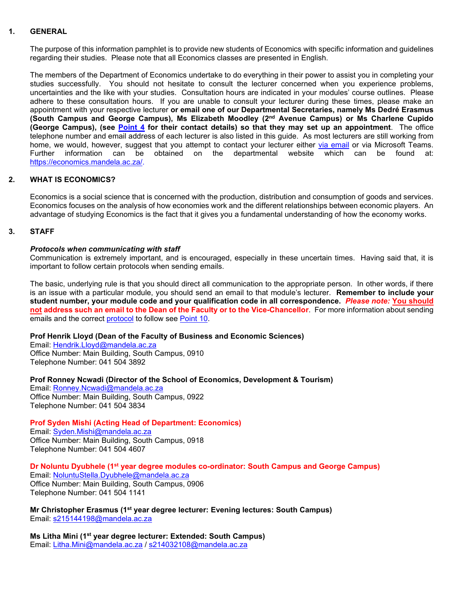#### **1. GENERAL**

<span id="page-2-0"></span>The purpose of this information pamphlet is to provide new students of Economics with specific information and guidelines regarding their studies. Please note that all Economics classes are presented in English.

The members of the Department of Economics undertake to do everything in their power to assist you in completing your studies successfully. You should not hesitate to consult the lecturer concerned when you experience problems, uncertainties and the like with your studies. Consultation hours are indicated in your modules' course outlines. Please adhere to these consultation hours. If you are unable to consult your lecturer during these times, please make an appointment with your respective lecturer **or email one of our Departmental Secretaries, namely Ms Dedré Erasmus (South Campus and George Campus), Ms Elizabeth Moodley (2nd Avenue Campus) or Ms Charlene Cupido (George Campus), (see [Point 4](#page-3-0) for their contact details) so that they may set up an appointment**. The office telephone number and email address of each lecturer is also listed in this guide. As most lecturers are still working from home, we would, however, suggest that you attempt to contact your lecturer either <u>via email</u> or via Microsoft Teams.<br>Further information can be obtained on the departmental website which can be found at: Further information can be obtained on the departmental website which can be found at: [https://economics.mandela.ac.za/.](https://economics.mandela.ac.za/)

# **2. WHAT IS ECONOMICS?**

<span id="page-2-1"></span>Economics is a social science that is concerned with the production, distribution and consumption of goods and services. Economics focuses on the analysis of how economies work and the different relationships between economic players. An advantage of studying Economics is the fact that it gives you a fundamental understanding of how the economy works.

#### **3. STAFF**

#### <span id="page-2-2"></span>*Protocols when communicating with staff*

Communication is extremely important, and is encouraged, especially in these uncertain times. Having said that, it is important to follow certain protocols when sending emails.

The basic, underlying rule is that you should direct all communication to the appropriate person. In other words, if there is an issue with a particular module, you should send an email to that module's lecturer. **Remember to include your student number, your module code and your qualification code in all correspondence.** *Please note:* **You should not address such an email to the Dean of the Faculty or to the Vice-Chancellor**. For more information about sending emails and the correct [protocol](#page-13-0) to follow see [Point 10.](#page-12-0)

#### **Prof Henrik Lloyd (Dean of the Faculty of Business and Economic Sciences)**

Email: [Hendrik.Lloyd@mandela.ac.za](mailto:Hendrik.Lloyd@mandela.ac.za) Office Number: Main Building, South Campus, 0910 Telephone Number: 041 504 3892

#### **Prof Ronney Ncwadi (Director of the School of Economics, Development & Tourism)**

Email: [Ronney.Ncwadi@mandela.ac.za](mailto:Ronney.Ncwadi@mandela.ac.za) Office Number: Main Building, South Campus, 0922 Telephone Number: 041 504 3834

#### **Prof Syden Mishi (Acting Head of Department: Economics)**

Email: [Syden.Mishi@mandela.ac.za](mailto:Syden.Mishi@mandela.ac.za) Office Number: Main Building, South Campus, 0918 Telephone Number: 041 504 4607

# **Dr Noluntu Dyubhele (1st year degree modules co-ordinator: South Campus and George Campus)**

Email: [NoluntuStella.Dyubhele@mandela.ac.za](mailto:NoluntuStella.Dyubhele@mandela.ac.za) Office Number: Main Building, South Campus, 0906 Telephone Number: 041 504 1141

**Mr Christopher Erasmus (1st year degree lecturer: Evening lectures: South Campus)** Email: [s215144198@mandela.ac.za](mailto:s215144198@mandela.ac.za)

**Ms Litha Mini (1st year degree lecturer: Extended: South Campus)** Email: [Litha.Mini@mandela.ac.za](mailto:Litha.Mini@mandela.ac.za) / [s214032108@mandela.ac.za](mailto:s214032108@mandela.ac.za)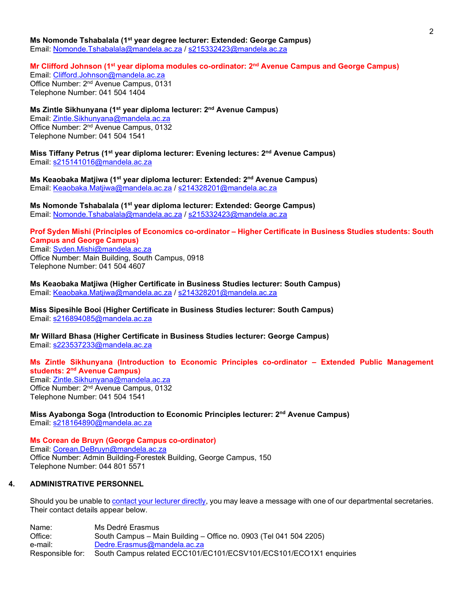**Ms Nomonde Tshabalala (1st year degree lecturer: Extended: George Campus)** Email: [Nomonde.Tshabalala@mandela.ac.za](mailto:Nomonde.Tshabalala@mandela.ac.za) / [s215332423@mandela.ac.za](mailto:s215332423@mandela.ac.za)

# **Mr Clifford Johnson (1st year diploma modules co-ordinator: 2nd Avenue Campus and George Campus)**

Email: [Clifford.Johnson@mandela.ac.za](mailto:Clifford.Johnson@mandela.ac.za) Office Number: 2<sup>nd</sup> Avenue Campus, 0131 Telephone Number: 041 504 1404

**Ms Zintle Sikhunyana (1st year diploma lecturer: 2nd Avenue Campus)** Email: [Zintle.Sikhunyana@mandela.ac.za](mailto:Zintle.Sikhunyana@mandela.ac.za) Office Number: 2nd Avenue Campus, 0132 Telephone Number: 041 504 1541

**Miss Tiffany Petrus (1st year diploma lecturer: Evening lectures: 2nd Avenue Campus)** Email: [s215141016@mandela.ac.za](mailto:s215141016@mandela.ac.za)

**Ms Keaobaka Matjiwa (1st year diploma lecturer: Extended: 2nd Avenue Campus)** Email: [Keaobaka.Matjiwa@mandela.ac.za](mailto:Keaobaka.Matjiwa@mandela.ac.za) / [s214328201@mandela.ac.za](mailto:s214328201@mandela.ac.za)

**Ms Nomonde Tshabalala (1st year diploma lecturer: Extended: George Campus)** Email: [Nomonde.Tshabalala@mandela.ac.za](mailto:Nomonde.Tshabalala@mandela.ac.za) / [s215332423@mandela.ac.za](mailto:s215332423@mandela.ac.za)

#### **Prof Syden Mishi (Principles of Economics co-ordinator – Higher Certificate in Business Studies students: South Campus and George Campus)**

Email: [Syden.Mishi@mandela.ac.za](mailto:Syden.Mishi@mandela.ac.za) Office Number: Main Building, South Campus, 0918 Telephone Number: 041 504 4607

**Ms Keaobaka Matjiwa (Higher Certificate in Business Studies lecturer: South Campus)** Email: [Keaobaka.Matjiwa@mandela.ac.za](mailto:Keaobaka.Matjiwa@mandela.ac.za) / [s214328201@mandela.ac.za](mailto:s214328201@mandela.ac.za)

**Miss Sipesihle Booi (Higher Certificate in Business Studies lecturer: South Campus)** Email: [s216894085@mandela.ac.za](mailto:s216894085@mandela.ac.za)

**Mr Willard Bhasa (Higher Certificate in Business Studies lecturer: George Campus)** Email: [s223537233@mandela.ac.za](mailto:s223537233@mandela.ac.za)

# **Ms Zintle Sikhunyana (Introduction to Economic Principles co-ordinator – Extended Public Management students: 2nd Avenue Campus)**

Email: [Zintle.Sikhunyana@mandela.ac.za](mailto:Zintle.Sikhunyana@mandela.ac.za)  Office Number: 2nd Avenue Campus, 0132 Telephone Number: 041 504 1541

#### **Miss Ayabonga Soga (Introduction to Economic Principles lecturer: 2nd Avenue Campus)** Email: [s218164890@mandela.ac.za](mailto:s218164890@mandela.ac.za)

**Ms Corean de Bruyn (George Campus co-ordinator)** Email: [Corean.DeBruyn@mandela.ac.za](mailto:Corean.DeBruyn@mandela.ac.za) Office Number: Admin Building-Forestek Building, George Campus, 150 Telephone Number: 044 801 5571

#### **4. ADMINISTRATIVE PERSONNEL**

<span id="page-3-0"></span>Should you be unable to [contact your lecturer directly,](#page-12-0) you may leave a message with one of our departmental secretaries. Their contact details appear below.

| Name:            | Ms Dedré Erasmus                                                  |
|------------------|-------------------------------------------------------------------|
| Office:          | South Campus – Main Building – Office no. 0903 (Tel 041 504 2205) |
| e-mail:          | Dedre.Erasmus@mandela.ac.za                                       |
| Responsible for: | South Campus related ECC101/EC101/ECSV101/ECS101/ECO1X1 enquiries |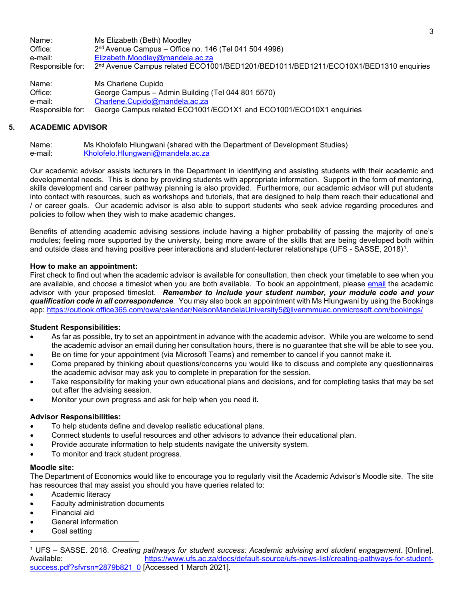Name: Ms Elizabeth (Beth) Moodley<br>Office: 2<sup>nd</sup> Avenue Campus – Office i  $2<sup>nd</sup>$  Avenue Campus – Office no. 146 (Tel 041 504 4996) e-mail: [Elizabeth.Moodley@mandela.ac.za](mailto:Elizabeth.Moodley@mandela.ac.za) Responsible for: 2<sup>nd</sup> Avenue Campus related ECO1001/BED1201/BED1011/BED1211/ECO10X1/BED1310 enquiries Name: Ms Charlene Cupido

Office: George Campus – Admin Building (Tel 044 801 5570) e-mail: [Charlene.Cupido@mandela.ac.za](mailto:Charlene.Cupido@mandela.ac.za)<br>
Responsible for: George Campus related ECO1001 George Campus related ECO1001/ECO1X1 and ECO1001/ECO10X1 enquiries

# **5. ACADEMIC ADVISOR**

<span id="page-4-0"></span>Name: Ms Kholofelo Hlungwani (shared with the Department of Development Studies) e-mail: [Kholofelo.Hlungwani@mandela.ac.za](mailto:Kholofelo.Hlungwani@mandela.ac.za)

Our academic advisor assists lecturers in the Department in identifying and assisting students with their academic and developmental needs. This is done by providing students with appropriate information. Support in the form of mentoring, skills development and career pathway planning is also provided. Furthermore, our academic advisor will put students into contact with resources, such as workshops and tutorials, that are designed to help them reach their educational and / or career goals. Our academic advisor is also able to support students who seek advice regarding procedures and policies to follow when they wish to make academic changes.

Benefits of attending academic advising sessions include having a higher probability of passing the majority of one's modules; feeling more supported by the university, being more aware of the skills that are being developed both within and outside class and having positive peer interactions and student-lecturer relationships (UFS - SASSE, 2018)[1](#page-4-1).

### **How to make an appointment:**

First check to find out when the academic advisor is available for consultation, then check your timetable to see when you are available, and choose a timeslot when you are both available. To book an appointment, please [email](#page-12-0) the academic advisor with your proposed timeslot. *Remember to include your student number, your module code and your qualification code in all correspondence*. You may also book an appointment with Ms Hlungwani by using the Bookings app:<https://outlook.office365.com/owa/calendar/NelsonMandelaUniversity5@livenmmuac.onmicrosoft.com/bookings/>

#### **Student Responsibilities:**

- As far as possible, try to set an appointment in advance with the academic advisor. While you are welcome to send the academic advisor an email during her consultation hours, there is no guarantee that she will be able to see you.
- Be on time for your appointment (via Microsoft Teams) and remember to cancel if you cannot make it.
- Come prepared by thinking about questions/concerns you would like to discuss and complete any questionnaires the academic advisor may ask you to complete in preparation for the session.
- Take responsibility for making your own educational plans and decisions, and for completing tasks that may be set out after the advising session.
- Monitor your own progress and ask for help when you need it.

#### **Advisor Responsibilities:**

- To help students define and develop realistic educational plans.
- Connect students to useful resources and other advisors to advance their educational plan.
- Provide accurate information to help students navigate the university system.
- To monitor and track student progress.

#### **Moodle site:**

The Department of Economics would like to encourage you to regularly visit the Academic Advisor's Moodle site. The site has resources that may assist you should you have queries related to:

- Academic literacy
- Faculty administration documents
- Financial aid
- General information
- Goal setting

<span id="page-4-1"></span><sup>1</sup> UFS – SASSE. 2018. *Creating pathways for student success: Academic advising and student engagement*. [Online]. Available: [https://www.ufs.ac.za/docs/default-source/ufs-news-list/creating-pathways-for-student](https://www.ufs.ac.za/docs/default-source/ufs-news-list/creating-pathways-for-student-success.pdf?sfvrsn=2879b821_0)[success.pdf?sfvrsn=2879b821\\_0](https://www.ufs.ac.za/docs/default-source/ufs-news-list/creating-pathways-for-student-success.pdf?sfvrsn=2879b821_0) [Accessed 1 March 2021].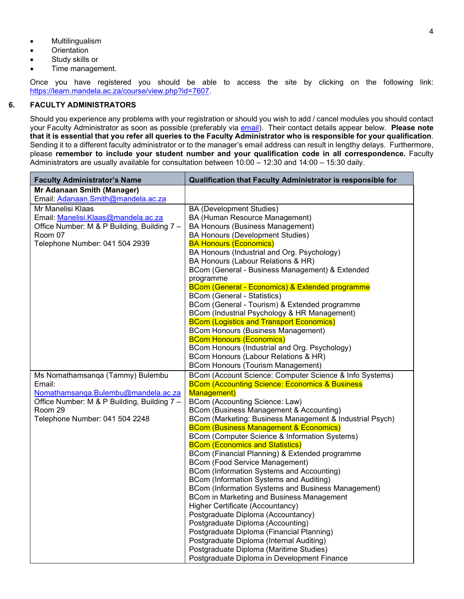- Multilingualism
- **Orientation**
- Study skills or
- Time management.

Once you have registered you should be able to access the site by clicking on the following link: [https://learn.mandela.ac.za/course/view.php?id=7607.](https://learn.mandela.ac.za/course/view.php?id=7607)

#### **6. FACULTY ADMINISTRATORS**

<span id="page-5-0"></span>Should you experience any problems with your registration or should you wish to add / cancel modules you should contact your Faculty Administrator as soon as possible (preferably via [email\)](#page-12-0). Their contact details appear below. **Please note that it is essential that you refer all queries to the Faculty Administrator who is responsible for your qualification**. Sending it to a different faculty administrator or to the manager's email address can result in lengthy delays. Furthermore, please **remember to include your student number and your qualification code in all correspondence.** Faculty Administrators are usually available for consultation between 10:00 – 12:30 and 14:00 – 15:30 daily.

| <b>Faculty Administrator's Name</b>         | Qualification that Faculty Administrator is responsible for                                   |
|---------------------------------------------|-----------------------------------------------------------------------------------------------|
| Mr Adanaan Smith (Manager)                  |                                                                                               |
| Email: Adanaan.Smith@mandela.ac.za          |                                                                                               |
| Mr Manelisi Klaas                           | <b>BA (Development Studies)</b>                                                               |
| Email: Manelisi.Klaas@mandela.ac.za         | BA (Human Resource Management)                                                                |
| Office Number: M & P Building, Building 7 - | <b>BA Honours (Business Management)</b>                                                       |
| Room 07                                     | <b>BA Honours (Development Studies)</b>                                                       |
| Telephone Number: 041 504 2939              | <b>BA Honours (Economics)</b>                                                                 |
|                                             | BA Honours (Industrial and Org. Psychology)                                                   |
|                                             | BA Honours (Labour Relations & HR)                                                            |
|                                             | BCom (General - Business Management) & Extended                                               |
|                                             | programme                                                                                     |
|                                             | BCom (General - Economics) & Extended programme                                               |
|                                             | <b>BCom (General - Statistics)</b>                                                            |
|                                             | BCom (General - Tourism) & Extended programme                                                 |
|                                             | BCom (Industrial Psychology & HR Management)                                                  |
|                                             | <b>BCom (Logistics and Transport Economics)</b>                                               |
|                                             | <b>BCom Honours (Business Management)</b>                                                     |
|                                             | <b>BCom Honours (Economics)</b>                                                               |
|                                             | BCom Honours (Industrial and Org. Psychology)                                                 |
|                                             | BCom Honours (Labour Relations & HR)                                                          |
|                                             | <b>BCom Honours (Tourism Management)</b>                                                      |
| Ms Nomathamsanqa (Tammy) Bulembu            | BCom (Account Science: Computer Science & Info Systems)                                       |
| Email:                                      | <b>BCom (Accounting Science: Economics &amp; Business</b>                                     |
| Nomathamsanga.Bulembu@mandela.ac.za         | <b>Management</b> )                                                                           |
| Office Number: M & P Building, Building 7 - | BCom (Accounting Science: Law)                                                                |
| Room 29                                     | BCom (Business Management & Accounting)                                                       |
| Telephone Number: 041 504 2248              | BCom (Marketing: Business Management & Industrial Psych)                                      |
|                                             | <b>BCom (Business Management &amp; Economics)</b>                                             |
|                                             | BCom (Computer Science & Information Systems)                                                 |
|                                             | <b>BCom (Economics and Statistics)</b>                                                        |
|                                             | BCom (Financial Planning) & Extended programme                                                |
|                                             | <b>BCom (Food Service Management)</b>                                                         |
|                                             | BCom (Information Systems and Accounting)                                                     |
|                                             | BCom (Information Systems and Auditing)<br>BCom (Information Systems and Business Management) |
|                                             | BCom in Marketing and Business Management                                                     |
|                                             | Higher Certificate (Accountancy)                                                              |
|                                             | Postgraduate Diploma (Accountancy)                                                            |
|                                             | Postgraduate Diploma (Accounting)                                                             |
|                                             | Postgraduate Diploma (Financial Planning)                                                     |
|                                             | Postgraduate Diploma (Internal Auditing)                                                      |
|                                             | Postgraduate Diploma (Maritime Studies)                                                       |
|                                             |                                                                                               |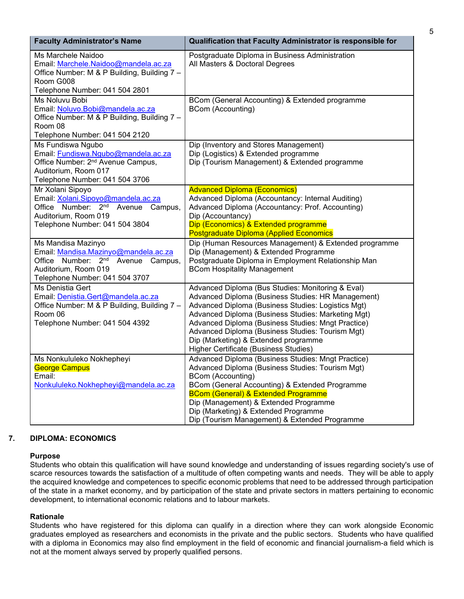| <b>Faculty Administrator's Name</b>                                                                                                                                 | Qualification that Faculty Administrator is responsible for                                                                                                                                                                                                                                                                                                                                                    |
|---------------------------------------------------------------------------------------------------------------------------------------------------------------------|----------------------------------------------------------------------------------------------------------------------------------------------------------------------------------------------------------------------------------------------------------------------------------------------------------------------------------------------------------------------------------------------------------------|
| Ms Marchele Naidoo<br>Email: Marchele.Naidoo@mandela.ac.za<br>Office Number: M & P Building, Building 7 -<br>Room G008<br>Telephone Number: 041 504 2801            | Postgraduate Diploma in Business Administration<br>All Masters & Doctoral Degrees                                                                                                                                                                                                                                                                                                                              |
| Ms Noluvu Bobi<br>Email: Noluvo.Bobi@mandela.ac.za<br>Office Number: M & P Building, Building 7 -<br>Room 08<br>Telephone Number: 041 504 2120                      | BCom (General Accounting) & Extended programme<br><b>BCom (Accounting)</b>                                                                                                                                                                                                                                                                                                                                     |
| Ms Fundiswa Ngubo<br>Email: Fundiswa.Ngubo@mandela.ac.za<br>Office Number: 2 <sup>nd</sup> Avenue Campus,<br>Auditorium, Room 017<br>Telephone Number: 041 504 3706 | Dip (Inventory and Stores Management)<br>Dip (Logistics) & Extended programme<br>Dip (Tourism Management) & Extended programme                                                                                                                                                                                                                                                                                 |
| Mr Xolani Sipoyo<br>Email: Xolani.Sipoyo@mandela.ac.za<br>Office Number: 2nd<br>Avenue Campus,<br>Auditorium, Room 019<br>Telephone Number: 041 504 3804            | <b>Advanced Diploma (Economics)</b><br>Advanced Diploma (Accountancy: Internal Auditing)<br>Advanced Diploma (Accountancy: Prof. Accounting)<br>Dip (Accountancy)<br>Dip (Economics) & Extended programme<br>Postgraduate Diploma (Applied Economics                                                                                                                                                           |
| Ms Mandisa Mazinyo<br>Email: Mandisa.Mazinyo@mandela.ac.za<br>Office Number: 2nd<br>Avenue Campus,<br>Auditorium, Room 019<br>Telephone Number: 041 504 3707        | Dip (Human Resources Management) & Extended programme<br>Dip (Management) & Extended Programme<br>Postgraduate Diploma in Employment Relationship Man<br><b>BCom Hospitality Management</b>                                                                                                                                                                                                                    |
| Ms Denistia Gert<br>Email: Denistia.Gert@mandela.ac.za<br>Office Number: M & P Building, Building 7 -<br>Room 06<br>Telephone Number: 041 504 4392                  | Advanced Diploma (Bus Studies: Monitoring & Eval)<br>Advanced Diploma (Business Studies: HR Management)<br>Advanced Diploma (Business Studies: Logistics Mgt)<br>Advanced Diploma (Business Studies: Marketing Mgt)<br>Advanced Diploma (Business Studies: Mngt Practice)<br>Advanced Diploma (Business Studies: Tourism Mgt)<br>Dip (Marketing) & Extended programme<br>Higher Certificate (Business Studies) |
| Ms Nonkululeko Nokhepheyi<br><b>George Campus</b><br>Email:<br>Nonkululeko.Nokhepheyi@mandela.ac.za                                                                 | Advanced Diploma (Business Studies: Mngt Practice)<br>Advanced Diploma (Business Studies: Tourism Mgt)<br><b>BCom (Accounting)</b><br>BCom (General Accounting) & Extended Programme<br><b>BCom (General) &amp; Extended Programme</b><br>Dip (Management) & Extended Programme<br>Dip (Marketing) & Extended Programme<br>Dip (Tourism Management) & Extended Programme                                       |

# **7. DIPLOMA: ECONOMICS**

#### <span id="page-6-0"></span>**Purpose**

Students who obtain this qualification will have sound knowledge and understanding of issues regarding society's use of scarce resources towards the satisfaction of a multitude of often competing wants and needs. They will be able to apply the acquired knowledge and competences to specific economic problems that need to be addressed through participation of the state in a market economy, and by participation of the state and private sectors in matters pertaining to economic development, to international economic relations and to labour markets.

#### **Rationale**

Students who have registered for this diploma can qualify in a direction where they can work alongside Economic graduates employed as researchers and economists in the private and the public sectors. Students who have qualified with a diploma in Economics may also find employment in the field of economic and financial journalism-a field which is not at the moment always served by properly qualified persons.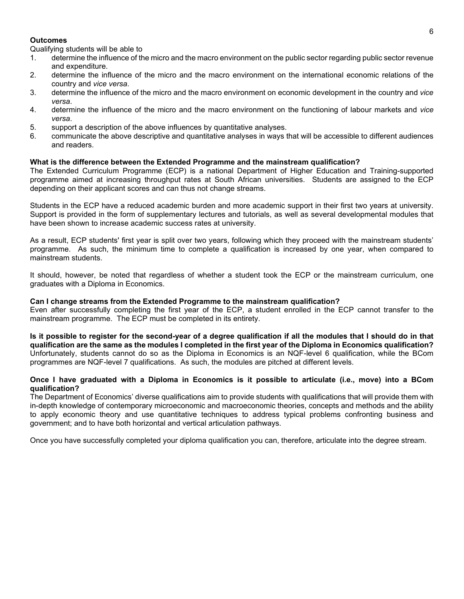#### **Outcomes**

Qualifying students will be able to

- 1. determine the influence of the micro and the macro environment on the public sector regarding public sector revenue and expenditure.
- 2. determine the influence of the micro and the macro environment on the international economic relations of the country and *vice versa*.
- 3. determine the influence of the micro and the macro environment on economic development in the country and *vice versa*.
- 4. determine the influence of the micro and the macro environment on the functioning of labour markets and *vice versa*.
- 5. support a description of the above influences by quantitative analyses.
- 6. communicate the above descriptive and quantitative analyses in ways that will be accessible to different audiences and readers.

#### **What is the difference between the Extended Programme and the mainstream qualification?**

The Extended Curriculum Programme (ECP) is a national Department of Higher Education and Training-supported programme aimed at increasing throughput rates at South African universities. Students are assigned to the ECP depending on their applicant scores and can thus not change streams.

Students in the ECP have a reduced academic burden and more academic support in their first two years at university. Support is provided in the form of supplementary lectures and tutorials, as well as several developmental modules that have been shown to increase academic success rates at university.

As a result, ECP students' first year is split over two years, following which they proceed with the mainstream students' programme. As such, the minimum time to complete a qualification is increased by one year, when compared to mainstream students.

It should, however, be noted that regardless of whether a student took the ECP or the mainstream curriculum, one graduates with a Diploma in Economics.

#### **Can I change streams from the Extended Programme to the mainstream qualification?**

Even after successfully completing the first year of the ECP, a student enrolled in the ECP cannot transfer to the mainstream programme. The ECP must be completed in its entirety.

**Is it possible to register for the second-year of a degree qualification if all the modules that I should do in that qualification are the same as the modules I completed in the first year of the Diploma in Economics qualification?** Unfortunately, students cannot do so as the Diploma in Economics is an NQF-level 6 qualification, while the BCom programmes are NQF-level 7 qualifications. As such, the modules are pitched at different levels.

#### **Once I have graduated with a Diploma in Economics is it possible to articulate (i.e., move) into a BCom qualification?**

The Department of Economics' diverse qualifications aim to provide students with qualifications that will provide them with in-depth knowledge of contemporary microeconomic and macroeconomic theories, concepts and methods and the ability to apply economic theory and use quantitative techniques to address typical problems confronting business and government; and to have both horizontal and vertical articulation pathways.

Once you have successfully completed your diploma qualification you can, therefore, articulate into the degree stream.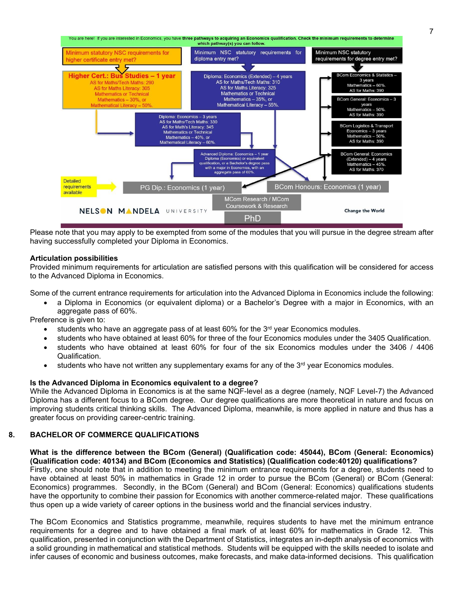

Please note that you may apply to be exempted from some of the modules that you will pursue in the degree stream after having successfully completed your Diploma in Economics.

#### **Articulation possibilities**

Provided minimum requirements for articulation are satisfied persons with this qualification will be considered for access to the Advanced Diploma in Economics.

Some of the current entrance requirements for articulation into the Advanced Diploma in Economics include the following:

• a Diploma in Economics (or equivalent diploma) or a Bachelor's Degree with a major in Economics, with an aggregate pass of 60%.

Preference is given to:

- students who have an aggregate pass of at least  $60\%$  for the  $3<sup>rd</sup>$  year Economics modules.
- students who have obtained at least 60% for three of the four Economics modules under the 3405 Qualification.
- students who have obtained at least 60% for four of the six Economics modules under the 3406 / 4406 Qualification.
- $\bullet$  students who have not written any supplementary exams for any of the 3<sup>rd</sup> year Economics modules.

#### **Is the Advanced Diploma in Economics equivalent to a degree?**

While the Advanced Diploma in Economics is at the same NQF-level as a degree (namely, NQF Level-7) the Advanced Diploma has a different focus to a BCom degree. Our degree qualifications are more theoretical in nature and focus on improving students critical thinking skills. The Advanced Diploma, meanwhile, is more applied in nature and thus has a greater focus on providing career-centric training.

#### **8. BACHELOR OF COMMERCE QUALIFICATIONS**

#### <span id="page-8-0"></span>**What is the difference between the BCom (General) (Qualification code: 45044), BCom (General: Economics) (Qualification code: 40134) and BCom (Economics and Statistics) (Qualification code:40120) qualifications?**

Firstly, one should note that in addition to meeting the minimum entrance requirements for a degree, students need to have obtained at least 50% in mathematics in Grade 12 in order to pursue the BCom (General) or BCom (General: Economics) programmes. Secondly, in the BCom (General) and BCom (General: Economics) qualifications students have the opportunity to combine their passion for Economics with another commerce-related major. These qualifications thus open up a wide variety of career options in the business world and the financial services industry.

The BCom Economics and Statistics programme, meanwhile, requires students to have met the minimum entrance requirements for a degree and to have obtained a final mark of at least 60% for mathematics in Grade 12. This qualification, presented in conjunction with the Department of Statistics, integrates an in-depth analysis of economics with a solid grounding in mathematical and statistical methods. Students will be equipped with the skills needed to isolate and infer causes of economic and business outcomes, make forecasts, and make data-informed decisions. This qualification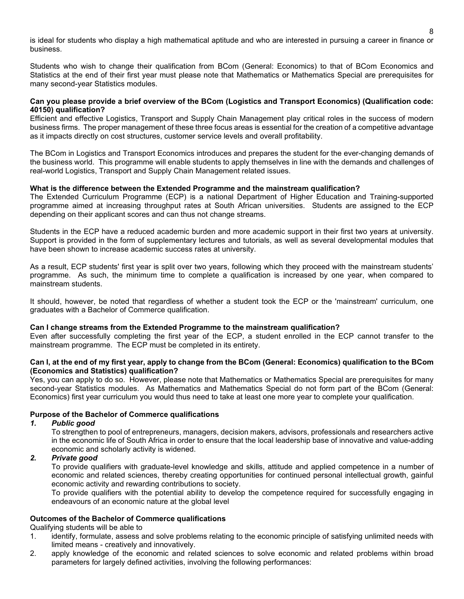is ideal for students who display a high mathematical aptitude and who are interested in pursuing a career in finance or business.

Students who wish to change their qualification from BCom (General: Economics) to that of BCom Economics and Statistics at the end of their first year must please note that Mathematics or Mathematics Special are prerequisites for many second-year Statistics modules.

#### **Can you please provide a brief overview of the BCom (Logistics and Transport Economics) (Qualification code: 40150) qualification?**

Efficient and effective Logistics, Transport and Supply Chain Management play critical roles in the success of modern business firms. The proper management of these three focus areas is essential for the creation of a competitive advantage as it impacts directly on cost structures, customer service levels and overall profitability.

The BCom in Logistics and Transport Economics introduces and prepares the student for the ever-changing demands of the business world. This programme will enable students to apply themselves in line with the demands and challenges of real-world Logistics, Transport and Supply Chain Management related issues.

### **What is the difference between the Extended Programme and the mainstream qualification?**

The Extended Curriculum Programme (ECP) is a national Department of Higher Education and Training-supported programme aimed at increasing throughput rates at South African universities. Students are assigned to the ECP depending on their applicant scores and can thus not change streams.

Students in the ECP have a reduced academic burden and more academic support in their first two years at university. Support is provided in the form of supplementary lectures and tutorials, as well as several developmental modules that have been shown to increase academic success rates at university.

As a result, ECP students' first year is split over two years, following which they proceed with the mainstream students' programme. As such, the minimum time to complete a qualification is increased by one year, when compared to mainstream students.

It should, however, be noted that regardless of whether a student took the ECP or the 'mainstream' curriculum, one graduates with a Bachelor of Commerce qualification.

#### **Can I change streams from the Extended Programme to the mainstream qualification?**

Even after successfully completing the first year of the ECP, a student enrolled in the ECP cannot transfer to the mainstream programme. The ECP must be completed in its entirety.

#### **Can I, at the end of my first year, apply to change from the BCom (General: Economics) qualification to the BCom (Economics and Statistics) qualification?**

Yes, you can apply to do so. However, please note that Mathematics or Mathematics Special are prerequisites for many second-year Statistics modules. As Mathematics and Mathematics Special do not form part of the BCom (General: Economics) first year curriculum you would thus need to take at least one more year to complete your qualification.

#### **Purpose of the Bachelor of Commerce qualifications**

#### *1. Public good*

To strengthen to pool of entrepreneurs, managers, decision makers, advisors, professionals and researchers active in the economic life of South Africa in order to ensure that the local leadership base of innovative and value-adding economic and scholarly activity is widened.

# *2. Private good*

To provide qualifiers with graduate-level knowledge and skills, attitude and applied competence in a number of economic and related sciences, thereby creating opportunities for continued personal intellectual growth, gainful economic activity and rewarding contributions to society.

To provide qualifiers with the potential ability to develop the competence required for successfully engaging in endeavours of an economic nature at the global level

# **Outcomes of the Bachelor of Commerce qualifications**

Qualifying students will be able to

- 1. identify, formulate, assess and solve problems relating to the economic principle of satisfying unlimited needs with limited means - creatively and innovatively.
- 2. apply knowledge of the economic and related sciences to solve economic and related problems within broad parameters for largely defined activities, involving the following performances: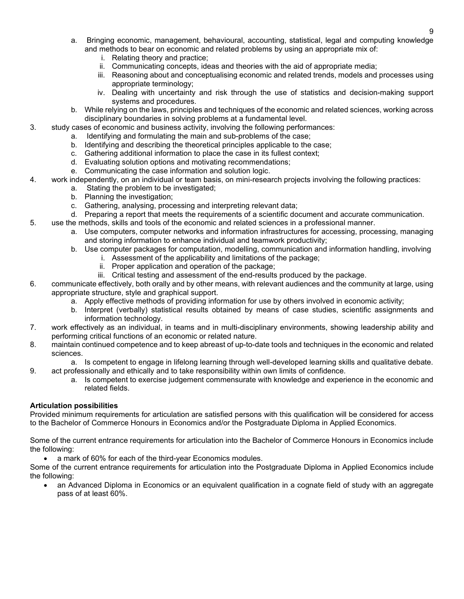- a. Bringing economic, management, behavioural, accounting, statistical, legal and computing knowledge and methods to bear on economic and related problems by using an appropriate mix of:
	- i. Relating theory and practice;
	- ii. Communicating concepts, ideas and theories with the aid of appropriate media;
	- iii. Reasoning about and conceptualising economic and related trends, models and processes using appropriate terminology;
	- iv. Dealing with uncertainty and risk through the use of statistics and decision-making support systems and procedures.
- b. While relying on the laws, principles and techniques of the economic and related sciences, working across disciplinary boundaries in solving problems at a fundamental level.
- 3. study cases of economic and business activity, involving the following performances:
	- a. Identifying and formulating the main and sub-problems of the case;
	- b. Identifying and describing the theoretical principles applicable to the case;
	- c. Gathering additional information to place the case in its fullest context;
	- d. Evaluating solution options and motivating recommendations;
	- e. Communicating the case information and solution logic.
- 4. work independently, on an individual or team basis, on mini-research projects involving the following practices:
	- a. Stating the problem to be investigated;
	- b. Planning the investigation;
	- c. Gathering, analysing, processing and interpreting relevant data;
	- d. Preparing a report that meets the requirements of a scientific document and accurate communication.
- 5. use the methods, skills and tools of the economic and related sciences in a professional manner.
	- a. Use computers, computer networks and information infrastructures for accessing, processing, managing and storing information to enhance individual and teamwork productivity;
	- b. Use computer packages for computation, modelling, communication and information handling, involving
		- i. Assessment of the applicability and limitations of the package;
			- ii. Proper application and operation of the package;
		- iii. Critical testing and assessment of the end-results produced by the package.
- 6. communicate effectively, both orally and by other means, with relevant audiences and the community at large, using appropriate structure, style and graphical support.
	- a. Apply effective methods of providing information for use by others involved in economic activity;
	- b. Interpret (verbally) statistical results obtained by means of case studies, scientific assignments and information technology.
- 7. work effectively as an individual, in teams and in multi-disciplinary environments, showing leadership ability and performing critical functions of an economic or related nature.
- 8. maintain continued competence and to keep abreast of up-to-date tools and techniques in the economic and related sciences.
- a. Is competent to engage in lifelong learning through well-developed learning skills and qualitative debate. 9. act professionally and ethically and to take responsibility within own limits of confidence.
	- a. Is competent to exercise judgement commensurate with knowledge and experience in the economic and related fields.

#### **Articulation possibilities**

Provided minimum requirements for articulation are satisfied persons with this qualification will be considered for access to the Bachelor of Commerce Honours in Economics and/or the Postgraduate Diploma in Applied Economics.

Some of the current entrance requirements for articulation into the Bachelor of Commerce Honours in Economics include the following:

• a mark of 60% for each of the third-year Economics modules.

Some of the current entrance requirements for articulation into the Postgraduate Diploma in Applied Economics include the following:

• an Advanced Diploma in Economics or an equivalent qualification in a cognate field of study with an aggregate pass of at least 60%.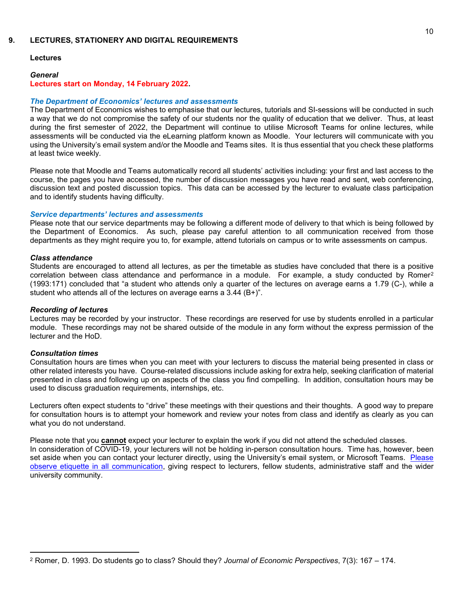#### **9. LECTURES, STATIONERY AND DIGITAL REQUIREMENTS**

### <span id="page-11-0"></span>**Lectures**

# *General* **Lectures start on Monday, 14 February 2022.**

#### *The Department of Economics' lectures and assessments*

The Department of Economics wishes to emphasise that our lectures, tutorials and SI-sessions will be conducted in such a way that we do not compromise the safety of our students nor the quality of education that we deliver. Thus, at least during the first semester of 2022, the Department will continue to utilise Microsoft Teams for online lectures, while assessments will be conducted via the eLearning platform known as Moodle. Your lecturers will communicate with you using the University's email system and/or the Moodle and Teams sites. It is thus essential that you check these platforms at least twice weekly*.*

Please note that Moodle and Teams automatically record all students' activities including: your first and last access to the course, the pages you have accessed, the number of discussion messages you have read and sent, web conferencing, discussion text and posted discussion topics. This data can be accessed by the lecturer to evaluate class participation and to identify students having difficulty.

#### *Service departments' lectures and assessments*

Please note that our service departments may be following a different mode of delivery to that which is being followed by the Department of Economics. As such, please pay careful attention to all communication received from those departments as they might require you to, for example, attend tutorials on campus or to write assessments on campus.

#### *Class attendance*

Students are encouraged to attend all lectures, as per the timetable as studies have concluded that there is a positive correlation between class attendance and performance in a module. For example, a study conducted by Romer<sup>[2](#page-11-1)</sup> (1993:171) concluded that "a student who attends only a quarter of the lectures on average earns a 1.79 (C-), while a student who attends all of the lectures on average earns a 3.44 (B+)".

#### *Recording of lectures*

Lectures may be recorded by your instructor. These recordings are reserved for use by students enrolled in a particular module. These recordings may not be shared outside of the module in any form without the express permission of the lecturer and the HoD.

#### *Consultation times*

Consultation hours are times when you can meet with your lecturers to discuss the material being presented in class or other related interests you have. Course-related discussions include asking for extra help, seeking clarification of material presented in class and following up on aspects of the class you find compelling. In addition, consultation hours may be used to discuss graduation requirements, internships, etc.

Lecturers often expect students to "drive" these meetings with their questions and their thoughts. A good way to prepare for consultation hours is to attempt your homework and review your notes from class and identify as clearly as you can what you do not understand.

Please note that you **cannot** expect your lecturer to explain the work if you did not attend the scheduled classes. In consideration of COVID-19, your lecturers will not be holding in-person consultation hours. Time has, however, been set aside when you can contact your lecturer directly, using the University's email system, or Microsoft Teams. Please observe [etiquette in all communication,](#page-12-0) giving respect to lecturers, fellow students, administrative staff and the wider university community.

<span id="page-11-1"></span><sup>2</sup> Romer, D. 1993. Do students go to class? Should they? *Journal of Economic Perspectives*, 7(3): 167 – 174.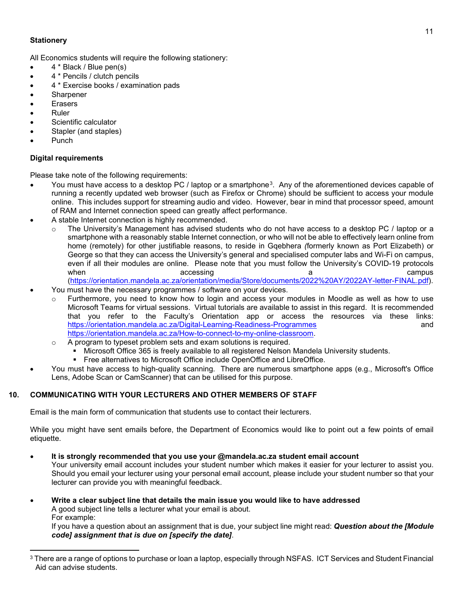# **Stationery**

All Economics students will require the following stationery:

- 4 \* Black / Blue pen(s)
- 4 \* Pencils / clutch pencils
- 4 \* Exercise books / examination pads
- Sharpener
- Erasers
- Ruler
- Scientific calculator
- Stapler (and staples)
- Punch

### <span id="page-12-2"></span>**Digital requirements**

Please take note of the following requirements:

- You must have access to a desktop PC / laptop or a smartphone[3.](#page-12-1) Any of the aforementioned devices capable of running a recently updated web browser (such as Firefox or Chrome) should be sufficient to access your module online. This includes support for streaming audio and video. However, bear in mind that processor speed, amount of RAM and Internet connection speed can greatly affect performance.
- A stable Internet connection is highly recommended.
	- The University's Management has advised students who do not have access to a desktop PC / laptop or a smartphone with a reasonably stable Internet connection, or who will not be able to effectively learn online from home (remotely) for other justifiable reasons, to reside in Gqebhera *(*formerly known as Port Elizabeth) or George so that they can access the University's general and specialised computer labs and Wi-Fi on campus, even if all their modules are online. Please note that you must follow the University's COVID-19 protocols when accessing and a compus and a campus and a campus and a campus and a campus
	- [\(https://orientation.mandela.ac.za/orientation/media/Store/documents/2022%20AY/2022AY-letter-FINAL.pdf\)](https://orientation.mandela.ac.za/orientation/media/Store/documents/2022%20AY/2022AY-letter-FINAL.pdf). • You must have the necessary programmes / software on your devices.
	- Furthermore, you need to know how to login and access your modules in Moodle as well as how to use Microsoft Teams for virtual sessions. Virtual tutorials are available to assist in this regard. It is recommended that you refer to the Faculty's Orientation app or access the resources via these links: <https://orientation.mandela.ac.za/Digital-Learning-Readiness-Programmes> and [https://orientation.mandela.ac.za/How-to-connect-to-my-online-classroom.](https://orientation.mandela.ac.za/How-to-connect-to-my-online-classroom)
	- o A program to typeset problem sets and exam solutions is required.<br>
	International Microsoft Office 365 is freely available to all registered Nelson
		- Microsoft Office 365 is freely available to all registered Nelson Mandela University students.
			- Free alternatives to Microsoft Office include OpenOffice and LibreOffice.
- You must have access to high-quality scanning. There are numerous smartphone apps (e.g., Microsoft's Office Lens, Adobe Scan or CamScanner) that can be utilised for this purpose.

# **10. COMMUNICATING WITH YOUR LECTURERS AND OTHER MEMBERS OF STAFF**

<span id="page-12-0"></span>Email is the main form of communication that students use to contact their lecturers.

While you might have sent emails before, the Department of Economics would like to point out a few points of email etiquette.

• **It is strongly recommended that you use your @mandela.ac.za student email account**

Your university email account includes your student number which makes it easier for your lecturer to assist you. Should you email your lecturer using your personal email account, please include your student number so that your lecturer can provide you with meaningful feedback.

• **Write a clear subject line that details the main issue you would like to have addressed** A good subject line tells a lecturer what your email is about. For example:

If you have a question about an assignment that is due, your subject line might read: *Question about the [Module code] assignment that is due on [specify the date]*.

<span id="page-12-1"></span><sup>3</sup> There are a range of options to purchase or loan a laptop, especially through NSFAS. ICT Services and Student Financial Aid can advise students.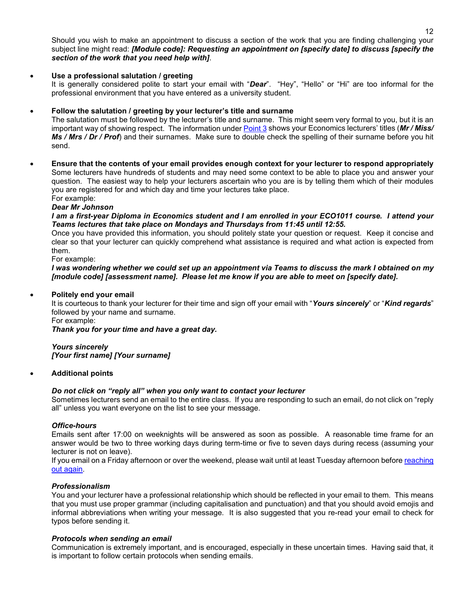Should you wish to make an appointment to discuss a section of the work that you are finding challenging your subject line might read: *[Module code]: Requesting an appointment on [specify date] to discuss [specify the section of the work that you need help with]*.

# • **Use a professional salutation / greeting**

It is generally considered polite to start your email with "*Dear*". "Hey", "Hello" or "Hi" are too informal for the professional environment that you have entered as a university student.

# • **Follow the salutation / greeting by your lecturer's title and surname**

The salutation must be followed by the lecturer's title and surname. This might seem very formal to you, but it is an important way of showing respect. The information unde[r Point 3](#page-2-2) shows your Economics lecturers' titles (*Mr / Miss/ Ms / Mrs / Dr / Prof*) and their surnames. Make sure to double check the spelling of their surname before you hit send.

• **Ensure that the contents of your email provides enough context for your lecturer to respond appropriately** Some lecturers have hundreds of students and may need some context to be able to place you and answer your question. The easiest way to help your lecturers ascertain who you are is by telling them which of their modules you are registered for and which day and time your lectures take place. For example:

#### *Dear Mr Johnson*

*I am a first-year Diploma in Economics student and I am enrolled in your ECO1011 course. I attend your Teams lectures that take place on Mondays and Thursdays from 11:45 until 12:55.*

Once you have provided this information, you should politely state your question or request. Keep it concise and clear so that your lecturer can quickly comprehend what assistance is required and what action is expected from them.

For example:

*I was wondering whether we could set up an appointment via Teams to discuss the mark I obtained on my [module code] [assessment name]. Please let me know if you are able to meet on [specify date].*

#### • **Politely end your email**

It is courteous to thank your lecturer for their time and sign off your email with "*Yours sincerely*" or "*Kind regards*" followed by your name and surname. For example:

*Thank you for your time and have a great day.*

*Yours sincerely [Your first name] [Your surname]*

#### • **Additional points**

#### *Do not click on "reply all" when you only want to contact your lecturer*

Sometimes lecturers send an email to the entire class. If you are responding to such an email, do not click on "reply all" unless you want everyone on the list to see your message.

#### *Office-hours*

Emails sent after 17:00 on weeknights will be answered as soon as possible. A reasonable time frame for an answer would be two to three working days during term-time or five to seven days during recess (assuming your lecturer is not on leave).

If you email on a Friday afternoon or over the weekend, please wait until at least Tuesday afternoon before reaching [out again.](#page-14-1)

# *Professionalism*

You and your lecturer have a professional relationship which should be reflected in your email to them. This means that you must use proper grammar (including capitalisation and punctuation) and that you should avoid emojis and informal abbreviations when writing your message. It is also suggested that you re-read your email to check for typos before sending it.

#### <span id="page-13-0"></span>*Protocols when sending an email*

Communication is extremely important, and is encouraged, especially in these uncertain times. Having said that, it is important to follow certain protocols when sending emails.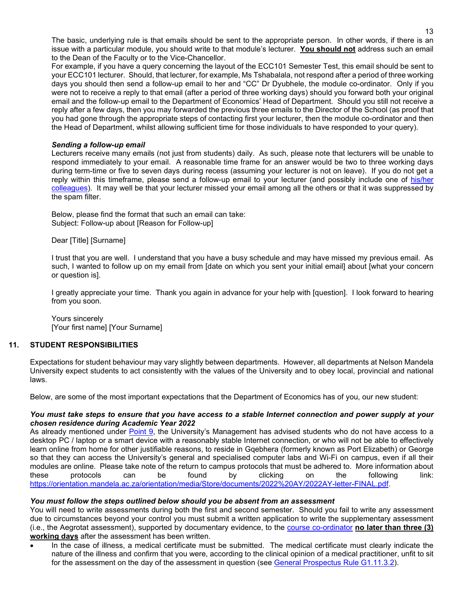The basic, underlying rule is that emails should be sent to the appropriate person. In other words, if there is an issue with a particular module, you should write to that module's lecturer. **You should not** address such an email to the Dean of the Faculty or to the Vice-Chancellor.

For example, if you have a query concerning the layout of the ECC101 Semester Test, this email should be sent to your ECC101 lecturer. Should, that lecturer, for example, Ms Tshabalala, not respond after a period of three working days you should then send a follow-up email to her and "CC" Dr Dyubhele, the module co-ordinator. Only if you were not to receive a reply to that email (after a period of three working days) should you forward both your original email and the follow-up email to the Department of Economics' Head of Department. Should you still not receive a reply after a few days, then you may forwarded the previous three emails to the Director of the School (as proof that you had gone through the appropriate steps of contacting first your lecturer, then the module co-ordinator and then the Head of Department, whilst allowing sufficient time for those individuals to have responded to your query).

#### <span id="page-14-1"></span>*Sending a follow-up email*

Lecturers receive many emails (not just from students) daily. As such, please note that lecturers will be unable to respond immediately to your email. A reasonable time frame for an answer would be two to three working days during term-time or five to seven days during recess (assuming your lecturer is not on leave). If you do not get a reply within this timeframe, please send a follow-up email to your lecturer (and possibly include one of [his/her](#page-2-2)  [colleagues\)](#page-2-2). It may well be that your lecturer missed your email among all the others or that it was suppressed by the spam filter.

Below, please find the format that such an email can take: Subject: Follow-up about [Reason for Follow-up]

Dear [Title] [Surname]

I trust that you are well. I understand that you have a busy schedule and may have missed my previous email. As such, I wanted to follow up on my email from [date on which you sent your initial email] about [what your concern or question is].

I greatly appreciate your time. Thank you again in advance for your help with [question]. I look forward to hearing from you soon.

Yours sincerely [Your first name] [Your Surname]

# **11. STUDENT RESPONSIBILITIES**

<span id="page-14-0"></span>Expectations for student behaviour may vary slightly between departments. However, all departments at Nelson Mandela University expect students to act consistently with the values of the University and to obey local, provincial and national laws.

Below, are some of the most important expectations that the Department of Economics has of you, our new student:

#### *You must take steps to ensure that you have access to a stable Internet connection and power supply at your chosen residence during Academic Year 2022*

As already mentioned under [Point 9,](#page-12-2) the University's Management has advised students who do not have access to a desktop PC / laptop or a smart device with a reasonably stable Internet connection, or who will not be able to effectively learn online from home for other justifiable reasons, to reside in Gqebhera (formerly known as Port Elizabeth) or George so that they can access the University's general and specialised computer labs and Wi-Fi on campus, even if all their modules are online. Please take note of the return to campus protocols that must be adhered to. More information about these protocols can be found by clicking on the following link: [https://orientation.mandela.ac.za/orientation/media/Store/documents/2022%20AY/2022AY-letter-FINAL.pdf.](https://orientation.mandela.ac.za/orientation/media/Store/documents/2022%20AY/2022AY-letter-FINAL.pdf)

#### *You must follow the steps outlined below should you be absent from an assessment*

You will need to write assessments during both the first and second semester. Should you fail to write any assessment due to circumstances beyond your control you must submit a written application to write the supplementary assessment (i.e., the Aegrotat assessment), supported by documentary evidence, to the [course co-ordinator](#page-2-2) **no later than three (3) working days** after the assessment has been written.

• In the case of illness, a medical certificate must be submitted. The medical certificate must clearly indicate the nature of the illness and confirm that you were, according to the clinical opinion of a medical practitioner, unfit to sit for the assessment on the day of the assessment in question (see [General Prospectus Rule G1.11.3.2\)](https://www.mandela.ac.za/getmedia/f333ec98-5667-4094-9a76-e052d9758eb3/General-Prospectus?disposition=attachment).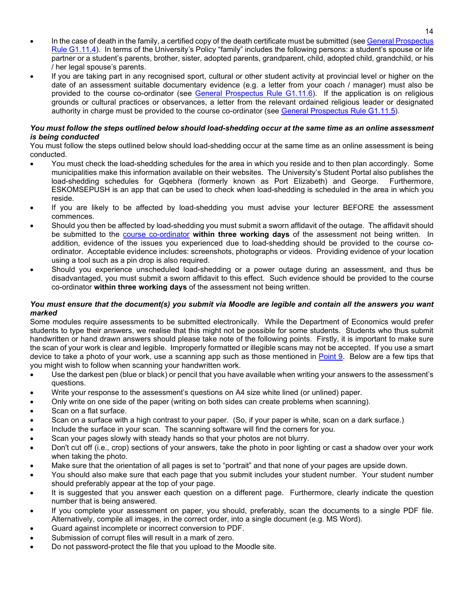- In the case of death in the family, a certified copy of the death certificate must be submitted (se[e General Prospectus](https://www.mandela.ac.za/getmedia/f333ec98-5667-4094-9a76-e052d9758eb3/General-Prospectus?disposition=attachment)  [Rule G1.11.4\)](https://www.mandela.ac.za/getmedia/f333ec98-5667-4094-9a76-e052d9758eb3/General-Prospectus?disposition=attachment). In terms of the University's Policy "family" includes the following persons: a student's spouse or life partner or a student's parents, brother, sister, adopted parents, grandparent, child, adopted child, grandchild, or his / her legal spouse's parents.
- If you are taking part in any recognised sport, cultural or other student activity at provincial level or higher on the date of an assessment suitable documentary evidence (e.g. a letter from your coach / manager) must also be provided to the course co-ordinator (see [General Prospectus Rule G1.11.6\)](https://www.mandela.ac.za/getmedia/f333ec98-5667-4094-9a76-e052d9758eb3/General-Prospectus?disposition=attachment). If the application is on religious grounds or cultural practices or observances, a letter from the relevant ordained religious leader or designated authority in charge must be provided to the course co-ordinator (see [General Prospectus](https://www.mandela.ac.za/getmedia/f333ec98-5667-4094-9a76-e052d9758eb3/General-Prospectus?disposition=attachment) Rule G1.11.5).

#### *You must follow the steps outlined below should load-shedding occur at the same time as an online assessment is being conducted*

You must follow the steps outlined below should load-shedding occur at the same time as an online assessment is being conducted.

- You must check the load-shedding schedules for the area in which you reside and to then plan accordingly. Some municipalities make this information available on their websites. The University's Student Portal also publishes the load-shedding schedules for Gqebhera (formerly known as Port Elizabeth) and George. Furthermore, ESKOMSEPUSH is an app that can be used to check when load-shedding is scheduled in the area in which you reside.
- If you are likely to be affected by load-shedding you must advise your lecturer BEFORE the assessment commences.
- Should you then be affected by load-shedding you must submit a sworn affidavit of the outage. The affidavit should be submitted to the [course co-ordinator](#page-2-2) **within three working days** of the assessment not being written. In addition, evidence of the issues you experienced due to load-shedding should be provided to the course coordinator. Acceptable evidence includes: screenshots, photographs or videos. Providing evidence of your location using a tool such as a pin drop is also required.
- Should you experience unscheduled load-shedding or a power outage during an assessment, and thus be disadvantaged, you must submit a sworn affidavit to this effect. Such evidence should be provided to the course co-ordinator **within three working days** of the assessment not being written.

### *You must ensure that the document(s) you submit via Moodle are legible and contain all the answers you want marked*

Some modules require assessments to be submitted electronically. While the Department of Economics would prefer students to type their answers, we realise that this might not be possible for some students. Students who thus submit handwritten or hand drawn answers should please take note of the following points. Firstly, it is important to make sure the scan of your work is clear and legible. Improperly formatted or illegible scans may not be accepted. If you use a smart device to take a photo of your work, use a scanning app such as those mentioned in [Point 9.](#page-12-2) Below are a few tips that you might wish to follow when scanning your handwritten work.

- Use the darkest pen (blue or black) or pencil that you have available when writing your answers to the assessment's questions.
- Write your response to the assessment's questions on A4 size white lined (or unlined) paper.
- Only write on one side of the paper (writing on both sides can create problems when scanning).
- Scan on a flat surface.
- Scan on a surface with a high contrast to your paper. (So, if your paper is white, scan on a dark surface.)
- Include the surface in your scan. The scanning software will find the corners for you.
- Scan your pages slowly with steady hands so that your photos are not blurry.
- Don't cut off (i.e., crop) sections of your answers, take the photo in poor lighting or cast a shadow over your work when taking the photo.
- Make sure that the orientation of all pages is set to "portrait" and that none of your pages are upside down.
- You should also make sure that each page that you submit includes your student number. Your student number should preferably appear at the top of your page.
- It is suggested that you answer each question on a different page. Furthermore, clearly indicate the question number that is being answered.
- If you complete your assessment on paper, you should, preferably, scan the documents to a single PDF file. Alternatively, compile all images, in the correct order, into a single document (e.g. MS Word).
- Guard against incomplete or incorrect conversion to PDF.
- Submission of corrupt files will result in a mark of zero.
- Do not password-protect the file that you upload to the Moodle site.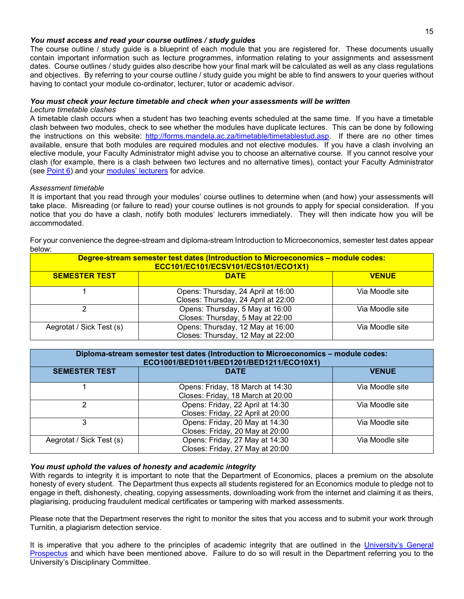#### *You must access and read your course outlines / study guides*

The course outline / study guide is a blueprint of each module that you are registered for. These documents usually contain important information such as lecture programmes, information relating to your assignments and assessment dates. Course outlines / study guides also describe how your final mark will be calculated as well as any class regulations and objectives. By referring to your course outline / study guide you might be able to find answers to your queries without having to contact your module co-ordinator, lecturer, tutor or academic advisor.

#### *You must check your lecture timetable and check when your assessments will be written Lecture timetable clashes*

A timetable clash occurs when a student has two teaching events scheduled at the same time. If you have a timetable clash between two modules, check to see whether the modules have duplicate lectures. This can be done by following the instructions on this website: [http://forms.mandela.ac.za/timetable/timetablestud.asp.](http://forms.mandela.ac.za/timetable/timetablestud.asp) If there are no other times available, ensure that both modules are required modules and not elective modules. If you have a clash involving an elective module, your Faculty Administrator might advise you to choose an alternative course. If you cannot resolve your clash (for example, there is a clash between two lectures and no alternative times), contact your Faculty Administrator (see [Point 6\)](#page-5-0) and your [modules' lecturers](#page-2-2) for advice.

#### *Assessment timetable*

It is important that you read through your modules' course outlines to determine when (and how) your assessments will take place. Misreading (or failure to read) your course outlines is not grounds to apply for special consideration. If you notice that you do have a clash, notify both modules' lecturers immediately. They will then indicate how you will be accommodated.

For your convenience the degree-stream and diploma-stream Introduction to Microeconomics, semester test dates appear below:

| Degree-stream semester test dates (Introduction to Microeconomics - module codes:<br>ECC101/EC101/ECSV101/ECS101/ECO1X1) |                                                                           |                 |  |  |  |  |  |
|--------------------------------------------------------------------------------------------------------------------------|---------------------------------------------------------------------------|-----------------|--|--|--|--|--|
| <b>SEMESTER TEST</b>                                                                                                     | <b>DATE</b>                                                               | <b>VENUE</b>    |  |  |  |  |  |
|                                                                                                                          | Opens: Thursday, 24 April at 16:00<br>Closes: Thursday, 24 April at 22:00 | Via Moodle site |  |  |  |  |  |
|                                                                                                                          | Opens: Thursday, 5 May at 16:00<br>Closes: Thursday, 5 May at 22:00       | Via Moodle site |  |  |  |  |  |
| Aegrotat / Sick Test (s)                                                                                                 | Opens: Thursday, 12 May at 16:00<br>Closes: Thursday, 12 May at 22:00     | Via Moodle site |  |  |  |  |  |

| Diploma-stream semester test dates (Introduction to Microeconomics - module codes:<br>ECO1001/BED1011/BED1201/BED1211/ECO10X1) |                                                                       |                 |  |  |  |  |  |
|--------------------------------------------------------------------------------------------------------------------------------|-----------------------------------------------------------------------|-----------------|--|--|--|--|--|
| <b>SEMESTER TEST</b>                                                                                                           | <b>DATE</b>                                                           | <b>VENUE</b>    |  |  |  |  |  |
|                                                                                                                                | Opens: Friday, 18 March at 14:30<br>Closes: Friday, 18 March at 20:00 | Via Moodle site |  |  |  |  |  |
| າ                                                                                                                              | Opens: Friday, 22 April at 14:30<br>Closes: Friday, 22 April at 20:00 | Via Moodle site |  |  |  |  |  |
| 3                                                                                                                              | Opens: Friday, 20 May at 14:30<br>Closes: Friday, 20 May at 20:00     | Via Moodle site |  |  |  |  |  |
| Aegrotat / Sick Test (s)                                                                                                       | Opens: Friday, 27 May at 14:30<br>Closes: Friday, 27 May at 20:00     | Via Moodle site |  |  |  |  |  |

#### *You must uphold the values of honesty and academic integrity*

With regards to integrity it is important to note that the Department of Economics, places a premium on the absolute honesty of every student. The Department thus expects all students registered for an Economics module to pledge not to engage in theft, dishonesty, cheating, copying assessments, downloading work from the internet and claiming it as theirs, plagiarising, producing fraudulent medical certificates or tampering with marked assessments.

Please note that the Department reserves the right to monitor the sites that you access and to submit your work through Turnitin, a plagiarism detection service.

It is imperative that you adhere to the principles of academic integrity that are outlined in the University's General [Prospectus](https://www.mandela.ac.za/getmedia/f333ec98-5667-4094-9a76-e052d9758eb3/General-Prospectus?disposition=attachment) and which have been mentioned above. Failure to do so will result in the Department referring you to the University's Disciplinary Committee.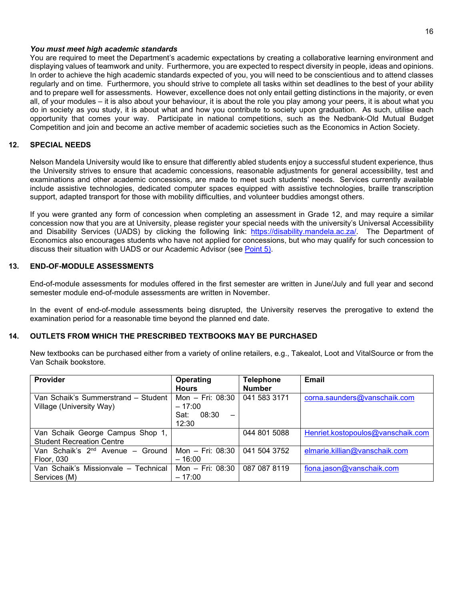#### *You must meet high academic standards*

You are required to meet the Department's academic expectations by creating a collaborative learning environment and displaying values of teamwork and unity. Furthermore, you are expected to respect diversity in people, ideas and opinions. In order to achieve the high academic standards expected of you, you will need to be conscientious and to attend classes regularly and on time. Furthermore, you should strive to complete all tasks within set deadlines to the best of your ability and to prepare well for assessments. However, excellence does not only entail getting distinctions in the majority, or even all, of your modules – it is also about your behaviour, it is about the role you play among your peers, it is about what you do in society as you study, it is about what and how you contribute to society upon graduation. As such, utilise each opportunity that comes your way. Participate in national competitions, such as the Nedbank-Old Mutual Budget Competition and join and become an active member of academic societies such as the Economics in Action Society.

#### **12. SPECIAL NEEDS**

<span id="page-17-0"></span>Nelson Mandela University would like to ensure that differently abled students enjoy a successful student experience, thus the University strives to ensure that academic concessions, reasonable adjustments for general accessibility, test and examinations and other academic concessions, are made to meet such students' needs. Services currently available include assistive technologies, dedicated computer spaces equipped with assistive technologies, braille transcription support, adapted transport for those with mobility difficulties, and volunteer buddies amongst others.

If you were granted any form of concession when completing an assessment in Grade 12, and may require a similar concession now that you are at University, please register your special needs with the university's Universal Accessibility and Disability Services (UADS) by clicking the following link: [https://disability.mandela.ac.za/.](https://disability.mandela.ac.za/) The Department of Economics also encourages students who have not applied for concessions, but who may qualify for such concession to discuss their situation with UADS or our Academic Advisor (see [Point 5\).](#page-4-0)

# **13. END-OF-MODULE ASSESSMENTS**

<span id="page-17-1"></span>End-of-module assessments for modules offered in the first semester are written in June/July and full year and second semester module end-of-module assessments are written in November.

In the event of end-of-module assessments being disrupted, the University reserves the prerogative to extend the examination period for a reasonable time beyond the planned end date.

#### **14. OUTLETS FROM WHICH THE PRESCRIBED TEXTBOOKS MAY BE PURCHASED**

<span id="page-17-2"></span>New textbooks can be purchased either from a variety of online retailers, e.g., Takealot, Loot and VitalSource or from the Van Schaik bookstore.

| <b>Provider</b>                              | Operating                                 | <b>Telephone</b> | Email                             |
|----------------------------------------------|-------------------------------------------|------------------|-----------------------------------|
|                                              | <b>Hours</b>                              | <b>Number</b>    |                                   |
| Van Schaik's Summerstrand – Student          | Mon $-$ Fri: 08:30                        | 041 583 3171     | corna.saunders@vanschaik.com      |
| Village (University Way)                     | $-17:00$                                  |                  |                                   |
|                                              | 08:30<br>Sat:<br>$\overline{\phantom{0}}$ |                  |                                   |
|                                              | 12:30                                     |                  |                                   |
| Van Schaik George Campus Shop 1,             |                                           | 044 801 5088     | Henriet.kostopoulos@vanschaik.com |
| <b>Student Recreation Centre</b>             |                                           |                  |                                   |
| Van Schaik's 2 <sup>nd</sup> Avenue - Ground | Mon - Fri: 08:30                          | 041 504 3752     | elmarie.killian@vanschaik.com     |
| Floor, 030                                   | $-16:00$                                  |                  |                                   |
| Van Schaik's Missionvale - Technical         | Mon - Fri: 08:30                          | 087 087 8119     | fiona.jason@vanschaik.com         |
| Services (M)                                 | $-17:00$                                  |                  |                                   |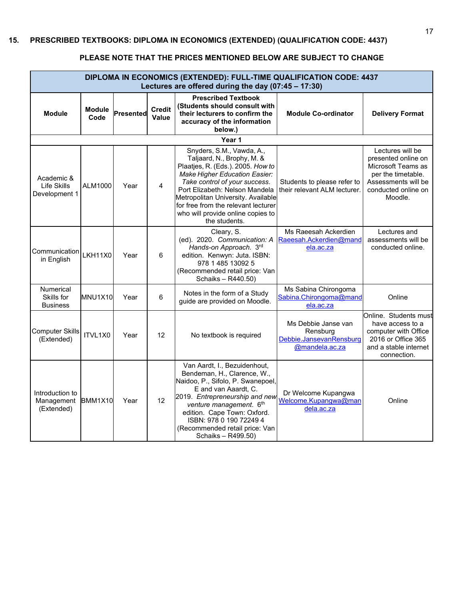<span id="page-18-0"></span>

| DIPLOMA IN ECONOMICS (EXTENDED): FULL-TIME QUALIFICATION CODE: 4437<br>Lectures are offered during the day (07:45 - 17:30) |                       |           |                        |                                                                                                                                                                                                                                                                                                                                            |                                                                              |                                                                                                                                              |  |  |
|----------------------------------------------------------------------------------------------------------------------------|-----------------------|-----------|------------------------|--------------------------------------------------------------------------------------------------------------------------------------------------------------------------------------------------------------------------------------------------------------------------------------------------------------------------------------------|------------------------------------------------------------------------------|----------------------------------------------------------------------------------------------------------------------------------------------|--|--|
| <b>Module</b>                                                                                                              | <b>Module</b><br>Code | Presented | <b>Credit</b><br>Value | <b>Prescribed Textbook</b><br>(Students should consult with<br>their lecturers to confirm the<br>accuracy of the information<br>below.)                                                                                                                                                                                                    | <b>Module Co-ordinator</b>                                                   | <b>Delivery Format</b>                                                                                                                       |  |  |
|                                                                                                                            |                       |           |                        | Year 1                                                                                                                                                                                                                                                                                                                                     |                                                                              |                                                                                                                                              |  |  |
| Academic &<br>Life Skills<br>Development 1                                                                                 | ALM1000               | Year      | 4                      | Snyders, S.M., Vawda, A.,<br>Taljaard, N., Brophy, M. &<br>Plaatjes, R. (Eds.). 2005. How to<br><b>Make Higher Education Easier:</b><br>Take control of your success.<br>Port Elizabeth: Nelson Mandela<br>Metropolitan University. Available<br>for free from the relevant lecturer<br>who will provide online copies to<br>the students. | Students to please refer to<br>their relevant ALM lecturer.                  | Lectures will be<br>presented online on<br>Microsoft Teams as<br>per the timetable.<br>Assessments will be<br>conducted online on<br>Moodle. |  |  |
| Communication<br>in English                                                                                                | <b>LKH11X0</b>        | Year      | 6                      | Cleary, S.<br>(ed). 2020. Communication: A<br>Hands-on Approach. 3rd<br>edition. Kenwyn: Juta. ISBN:<br>978 1 485 13092 5<br>(Recommended retail price: Van<br>Schaiks - R440.50)                                                                                                                                                          | Ms Raeesah Ackerdien<br>Raeesah.Ackerdien@mand<br>ela.ac.za                  | Lectures and<br>assessments will be<br>conducted online.                                                                                     |  |  |
| <b>Numerical</b><br>Skills for<br><b>Business</b>                                                                          | <b>MNU1X10</b>        | Year      | 6                      | Notes in the form of a Study<br>guide are provided on Moodle.                                                                                                                                                                                                                                                                              | Ms Sabina Chirongoma<br>Sabina.Chirongoma@mand<br>ela.ac.za                  | Online                                                                                                                                       |  |  |
| <b>Computer Skills</b><br>(Extended)                                                                                       | ITVL1X0               | Year      | 12                     | No textbook is required                                                                                                                                                                                                                                                                                                                    | Ms Debbie Janse van<br>Rensburg<br>Debbie.JansevanRensburg<br>@mandela.ac.za | Online. Students must<br>have access to a<br>computer with Office<br>2016 or Office 365<br>and a stable internet<br>connection.              |  |  |
| Introduction to<br>Management<br>(Extended)                                                                                | <b>BMM1X10</b>        | Year      | 12                     | Van Aardt, I., Bezuidenhout,<br>Bendeman, H., Clarence, W.,<br>Naidoo, P., Sifolo, P. Swanepoel,<br>E and van Aaardt, C.<br>2019. Entrepreneurship and new<br>venture management. 6th<br>edition. Cape Town: Oxford.<br>ISBN: 978 0 190 72249 4<br>(Recommended retail price: Van<br>Schaiks - R499.50)                                    | Dr Welcome Kupangwa<br>Welcome.Kupangwa@man<br>dela.ac.za                    | Online                                                                                                                                       |  |  |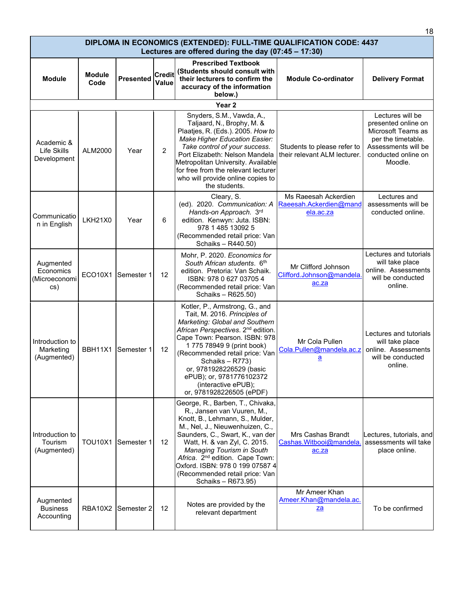| DIPLOMA IN ECONOMICS (EXTENDED): FULL-TIME QUALIFICATION CODE: 4437<br>Lectures are offered during the day $(07:45 - 17:30)$ |                       |                  |                               |                                                                                                                                                                                                                                                                                                                                                                                  |                                                             |                                                                                                                                              |  |  |  |
|------------------------------------------------------------------------------------------------------------------------------|-----------------------|------------------|-------------------------------|----------------------------------------------------------------------------------------------------------------------------------------------------------------------------------------------------------------------------------------------------------------------------------------------------------------------------------------------------------------------------------|-------------------------------------------------------------|----------------------------------------------------------------------------------------------------------------------------------------------|--|--|--|
| <b>Module</b>                                                                                                                | <b>Module</b><br>Code | <b>Presented</b> | <b>Credit</b><br><b>Value</b> | <b>Prescribed Textbook</b><br>(Students should consult with<br>their lecturers to confirm the<br>accuracy of the information<br>below.)                                                                                                                                                                                                                                          | <b>Module Co-ordinator</b>                                  | <b>Delivery Format</b>                                                                                                                       |  |  |  |
|                                                                                                                              | Year <sub>2</sub>     |                  |                               |                                                                                                                                                                                                                                                                                                                                                                                  |                                                             |                                                                                                                                              |  |  |  |
| Academic &<br>Life Skills<br>Development                                                                                     | ALM2000               | Year             | $\overline{2}$                | Snyders, S.M., Vawda, A.,<br>Taljaard, N., Brophy, M. &<br>Plaatjes, R. (Eds.). 2005. How to<br><b>Make Higher Education Easier:</b><br>Take control of your success.<br>Port Elizabeth: Nelson Mandela<br>Metropolitan University. Available<br>for free from the relevant lecturer<br>who will provide online copies to<br>the students.                                       | Students to please refer to<br>their relevant ALM lecturer. | Lectures will be<br>presented online on<br>Microsoft Teams as<br>per the timetable.<br>Assessments will be<br>conducted online on<br>Moodle. |  |  |  |
| Communicatio<br>n in English                                                                                                 | <b>LKH21X0</b>        | Year             | 6                             | Cleary, S.<br>(ed). 2020. Communication: A<br>Hands-on Approach. 3rd<br>edition. Kenwyn: Juta. ISBN:<br>978 1 485 13092 5<br>(Recommended retail price: Van<br>Schaiks - R440.50)                                                                                                                                                                                                | Ms Raeesah Ackerdien<br>Raeesah.Ackerdien@mand<br>ela.ac.za | Lectures and<br>assessments will be<br>conducted online.                                                                                     |  |  |  |
| Augmented<br>Economics<br>(Microeconomi<br>cs)                                                                               | ECO10X1               | Semester 1       | 12                            | Mohr, P. 2020. Economics for<br>South African students. 6th<br>edition. Pretoria: Van Schaik.<br>ISBN: 978 0 627 03705 4<br>(Recommended retail price: Van<br>Schaiks - R625.50)                                                                                                                                                                                                 | Mr Clifford Johnson<br>Clifford.Johnson@mandela.<br>ac.za   | Lectures and tutorials<br>will take place<br>online. Assessments<br>will be conducted<br>online.                                             |  |  |  |
| Introduction to<br>Marketing<br>(Augmented)                                                                                  | BBH11X1               | Semester 1       | 12                            | Kotler, P., Armstrong, G., and<br>Tait, M. 2016. Principles of<br>Marketing: Global and Southern<br>African Perspectives. 2 <sup>nd</sup> edition.<br>Cape Town: Pearson. ISBN: 978<br>1775 78949 9 (print book)<br>(Recommended retail price: Van<br>Schaiks - R773)<br>or, 9781928226529 (basic<br>ePUB); or, 9781776102372<br>(interactive ePUB);<br>or, 9781928226505 (ePDF) | Mr Cola Pullen<br>Cola.Pullen@mandela.ac.z<br><u>a</u>      | Lectures and tutorials<br>will take place<br>online. Assessments<br>will be conducted<br>online.                                             |  |  |  |
| Introduction to<br>Tourism<br>(Augmented)                                                                                    | <b>TOU10X1</b>        | Semester 1       | 12 <sup>2</sup>               | George, R., Barben, T., Chivaka,<br>R., Jansen van Vuuren, M.,<br>Knott, B., Lehmann, S., Mulder,<br>M., Nel, J., Nieuwenhuizen, C.,<br>Saunders, C., Swart, K., van der<br>Watt, H. & van Zyl, C. 2015.<br>Managing Tourism in South<br>Africa. 2 <sup>nd</sup> edition. Cape Town:<br>Oxford. ISBN: 978 0 199 07587 4<br>(Recommended retail price: Van<br>Schaiks - R673.95)  | Mrs Cashas Brandt<br>Cashas. Witbooi@mandela.<br>ac.za      | Lectures, tutorials, and<br>assessments will take<br>place online.                                                                           |  |  |  |
| Augmented<br><b>Business</b><br>Accounting                                                                                   | RBA10X2               | Semester 2       | 12                            | Notes are provided by the<br>relevant department                                                                                                                                                                                                                                                                                                                                 | Mr Ameer Khan<br>Ameer.Khan@mandela.ac.<br>za               | To be confirmed                                                                                                                              |  |  |  |

18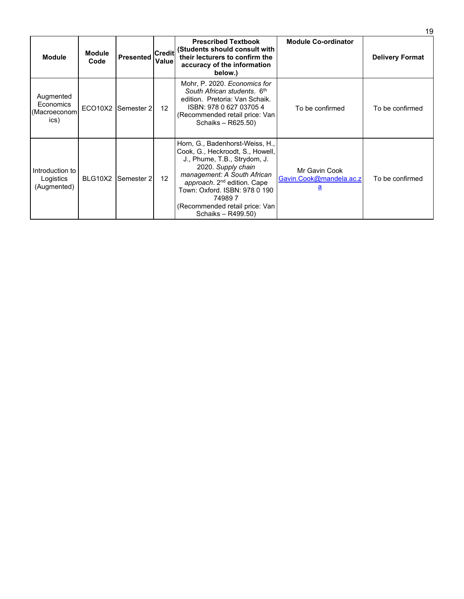|                                                |                       |                    |                               |                                                                                                                                                                                                                                                                                                        |                                                      | 19                     |
|------------------------------------------------|-----------------------|--------------------|-------------------------------|--------------------------------------------------------------------------------------------------------------------------------------------------------------------------------------------------------------------------------------------------------------------------------------------------------|------------------------------------------------------|------------------------|
| <b>Module</b>                                  | <b>Module</b><br>Code | <b>Presented</b>   | <b>Credit</b><br><b>Value</b> | <b>Prescribed Textbook</b><br>(Students should consult with<br>their lecturers to confirm the<br>accuracy of the information<br>below.)                                                                                                                                                                | <b>Module Co-ordinator</b>                           | <b>Delivery Format</b> |
| Augmented<br>Economics<br>(Macroeconom<br>ics) |                       | ECO10X2 Semester 2 | 12                            | Mohr, P. 2020. Economics for<br>South African students. 6th<br>edition. Pretoria: Van Schaik.<br>ISBN: 978 0 627 03705 4<br>(Recommended retail price: Van<br>Schaiks - R625.50)                                                                                                                       | To be confirmed                                      | To be confirmed        |
| Introduction to<br>Logistics<br>(Augmented)    | BLG10X2               | Semester 2         | 12                            | Horn, G., Badenhorst-Weiss, H.,<br>Cook, G., Heckroodt, S., Howell,<br>J., Phume, T.B., Strydom, J.<br>2020. Supply chain<br>management: A South African<br>approach. 2 <sup>nd</sup> edition. Cape<br>Town: Oxford. ISBN: 978 0 190<br>749897<br>(Recommended retail price: Van<br>Schaiks - R499.50) | Mr Gavin Cook<br>Gavin.Cook@mandela.ac.z<br><u>a</u> | To be confirmed        |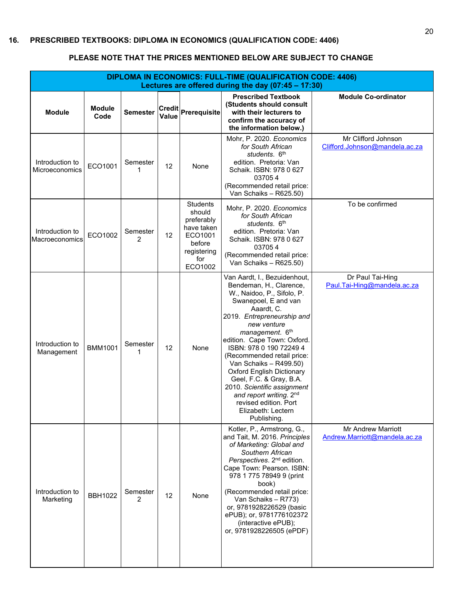<span id="page-21-0"></span>

| <b>DIPLOMA IN ECONOMICS: FULL-TIME (QUALIFICATION CODE: 4406)</b><br>Lectures are offered during the day (07:45 - 17:30) |                       |                            |       |                                                                                                             |                                                                                                                                                                                                                                                                                                                                                                                                                                                                                                      |                                                            |  |  |
|--------------------------------------------------------------------------------------------------------------------------|-----------------------|----------------------------|-------|-------------------------------------------------------------------------------------------------------------|------------------------------------------------------------------------------------------------------------------------------------------------------------------------------------------------------------------------------------------------------------------------------------------------------------------------------------------------------------------------------------------------------------------------------------------------------------------------------------------------------|------------------------------------------------------------|--|--|
| <b>Module</b>                                                                                                            | <b>Module</b><br>Code | <b>Semester</b>            | Value | Credit Prerequisite                                                                                         | <b>Prescribed Textbook</b><br>(Students should consult<br>with their lecturers to<br>confirm the accuracy of<br>the information below.)                                                                                                                                                                                                                                                                                                                                                              | <b>Module Co-ordinator</b>                                 |  |  |
| Introduction to<br>Microeconomics                                                                                        | ECO1001               | Semester<br>1              | 12    | None                                                                                                        | Mohr, P. 2020. Economics<br>for South African<br>students. 6th<br>edition. Pretoria: Van<br>Schaik. ISBN: 978 0 627<br>037054<br>(Recommended retail price:<br>Van Schaiks - R625.50)                                                                                                                                                                                                                                                                                                                | Mr Clifford Johnson<br>Clifford.Johnson@mandela.ac.za      |  |  |
| Introduction to<br>Macroeconomics                                                                                        | ECO1002               | Semester<br>2              | 12    | <b>Students</b><br>should<br>preferably<br>have taken<br>ECO1001<br>before<br>registering<br>for<br>ECO1002 | Mohr, P. 2020. Economics<br>for South African<br>students. 6 <sup>th</sup><br>edition. Pretoria: Van<br>Schaik. ISBN: 978 0 627<br>037054<br>(Recommended retail price:<br>Van Schaiks - R625.50)                                                                                                                                                                                                                                                                                                    | To be confirmed                                            |  |  |
| Introduction to<br>Management                                                                                            | <b>BMM1001</b>        | Semester<br>1              | 12    | None                                                                                                        | Van Aardt, I., Bezuidenhout,<br>Bendeman, H., Clarence,<br>W., Naidoo, P., Sifolo, P.<br>Swanepoel, E and van<br>Aaardt, C.<br>2019. Entrepreneurship and<br>new venture<br>management. 6th<br>edition. Cape Town: Oxford.<br>ISBN: 978 0 190 72249 4<br>(Recommended retail price:<br>Van Schaiks - R499.50)<br><b>Oxford English Dictionary</b><br>Geel, F.C. & Gray, B.A.<br>2010. Scientific assignment<br>and report writing. 2nd<br>revised edition. Port<br>Elizabeth: Lectern<br>Publishing. | Dr Paul Tai-Hing<br>Paul.Tai-Hing@mandela.ac.za            |  |  |
| Introduction to<br>Marketing                                                                                             | <b>BBH1022</b>        | Semester<br>$\overline{2}$ | 12    | None                                                                                                        | Kotler, P., Armstrong, G.,<br>and Tait, M. 2016. Principles<br>of Marketing: Global and<br>Southern African<br>Perspectives. 2 <sup>nd</sup> edition.<br>Cape Town: Pearson. ISBN:<br>978 1 775 78949 9 (print<br>book)<br>(Recommended retail price:<br>Van Schaiks - R773)<br>or, 9781928226529 (basic<br>ePUB); or, 9781776102372<br>(interactive ePUB);<br>or, 9781928226505 (ePDF)                                                                                                              | <b>Mr Andrew Marriott</b><br>Andrew.Marriott@mandela.ac.za |  |  |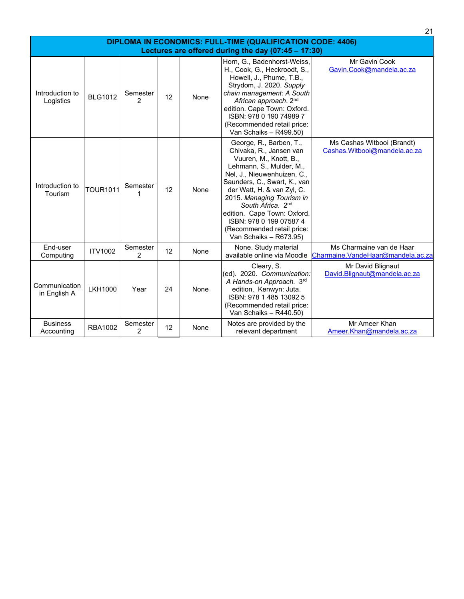| <b>DIPLOMA IN ECONOMICS: FULL-TIME (QUALIFICATION CODE: 4406)</b> |                 |                            |    |      |                                                                                                                                                                                                                                                                                                                                                                                       |                                                               |  |  |
|-------------------------------------------------------------------|-----------------|----------------------------|----|------|---------------------------------------------------------------------------------------------------------------------------------------------------------------------------------------------------------------------------------------------------------------------------------------------------------------------------------------------------------------------------------------|---------------------------------------------------------------|--|--|
| Lectures are offered during the day (07:45 - 17:30)               |                 |                            |    |      |                                                                                                                                                                                                                                                                                                                                                                                       |                                                               |  |  |
| Introduction to<br>Logistics                                      | <b>BLG1012</b>  | Semester<br>$\mathfrak{p}$ | 12 | None | Horn, G., Badenhorst-Weiss,<br>H., Cook, G., Heckroodt, S.,<br>Howell, J., Phume, T.B.,<br>Strydom, J. 2020. Supply<br>chain management: A South<br>African approach. 2nd<br>edition. Cape Town: Oxford.<br>ISBN: 978 0 190 74989 7<br>(Recommended retail price:<br>Van Schaiks - R499.50)                                                                                           | Mr Gavin Cook<br>Gavin.Cook@mandela.ac.za                     |  |  |
| Introduction to<br>Tourism                                        | <b>TOUR1011</b> | Semester                   | 12 | None | George, R., Barben, T.,<br>Chivaka, R., Jansen van<br>Vuuren, M., Knott, B.,<br>Lehmann, S., Mulder, M.,<br>Nel, J., Nieuwenhuizen, C.,<br>Saunders, C., Swart, K., van<br>der Watt, H. & van Zyl, C.<br>2015. Managing Tourism in<br>South Africa. 2 <sup>nd</sup><br>edition. Cape Town: Oxford.<br>ISBN: 978 0 199 07587 4<br>(Recommended retail price:<br>Van Schaiks - R673.95) | Ms Cashas Witbooi (Brandt)<br>Cashas.Witbooi@mandela.ac.za    |  |  |
| End-user<br>Computing                                             | <b>ITV1002</b>  | Semester<br>$\mathcal{P}$  | 12 | None | None. Study material<br>available online via Moodle                                                                                                                                                                                                                                                                                                                                   | Ms Charmaine van de Haar<br>Charmaine.VandeHaar@mandela.ac.za |  |  |
| Communication<br>in English A                                     | <b>LKH1000</b>  | Year                       | 24 | None | Cleary, S.<br>(ed). 2020. Communication:<br>A Hands-on Approach. 3rd<br>edition. Kenwyn: Juta.<br>ISBN: 978 1 485 13092 5<br>(Recommended retail price:<br>Van Schaiks - R440.50)                                                                                                                                                                                                     | Mr David Blignaut<br>David.Blignaut@mandela.ac.za             |  |  |
| <b>Business</b><br>Accounting                                     | <b>RBA1002</b>  | Semester<br>2              | 12 | None | Notes are provided by the<br>relevant department                                                                                                                                                                                                                                                                                                                                      | Mr Ameer Khan<br>Ameer.Khan@mandela.ac.za                     |  |  |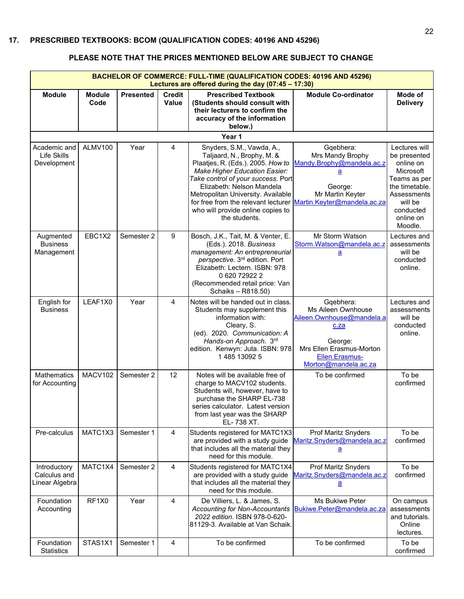<span id="page-23-0"></span>

| BACHELOR OF COMMERCE: FULL-TIME (QUALIFICATION CODES: 40196 AND 45296)<br>Lectures are offered during the day $(07:45 - 17:30)$ |                       |                  |                               |                                                                                                                                                                                                                                                                                                                                                                        |                                                                                                                                                       |                                                                                                                                                          |  |  |
|---------------------------------------------------------------------------------------------------------------------------------|-----------------------|------------------|-------------------------------|------------------------------------------------------------------------------------------------------------------------------------------------------------------------------------------------------------------------------------------------------------------------------------------------------------------------------------------------------------------------|-------------------------------------------------------------------------------------------------------------------------------------------------------|----------------------------------------------------------------------------------------------------------------------------------------------------------|--|--|
| <b>Module</b>                                                                                                                   | <b>Module</b><br>Code | <b>Presented</b> | <b>Credit</b><br><b>Value</b> | <b>Prescribed Textbook</b><br>(Students should consult with<br>their lecturers to confirm the<br>accuracy of the information<br>below.)                                                                                                                                                                                                                                | <b>Module Co-ordinator</b>                                                                                                                            | Mode of<br><b>Delivery</b>                                                                                                                               |  |  |
|                                                                                                                                 |                       |                  |                               | Year 1                                                                                                                                                                                                                                                                                                                                                                 |                                                                                                                                                       |                                                                                                                                                          |  |  |
| Academic and<br>Life Skills<br>Development                                                                                      | ALMV100               | Year             | $\overline{4}$                | Snyders, S.M., Vawda, A.,<br>Taljaard, N., Brophy, M. &<br>Plaatjes, R. (Eds.). 2005. How to<br><b>Make Higher Education Easier:</b><br>Take control of your success. Port<br>Elizabeth: Nelson Mandela<br>Metropolitan University. Available<br>for free from the relevant lecturer Martin.Keyter@mandela.ac.za<br>who will provide online copies to<br>the students. | Gqebhera:<br>Mrs Mandy Brophy<br>Mandy.Brophy@mandela.ac.z<br>а<br>George:<br>Mr Martin Keyter                                                        | Lectures will<br>be presented<br>online on<br>Microsoft<br>Teams as per<br>the timetable.<br>Assessments<br>will be<br>conducted<br>online on<br>Moodle. |  |  |
| Augmented<br><b>Business</b><br>Management                                                                                      | EBC1X2                | Semester 2       | 9                             | Bosch, J.K., Tait, M. & Venter, E.<br>(Eds.). 2018. Business<br>management: An entrepreneurial<br>perspective. 3rd edition. Port<br>Elizabeth: Lectern. ISBN: 978<br>0 620 72922 2<br>(Recommended retail price: Van<br>Schaiks - R818.50)                                                                                                                             | Mr Storm Watson<br>Storm.Watson@mandela.ac.z<br>$\underline{\mathbf{a}}$                                                                              | Lectures and<br>assessments<br>will be<br>conducted<br>online.                                                                                           |  |  |
| English for<br><b>Business</b>                                                                                                  | LEAF1X0               | Year             | 4                             | Notes will be handed out in class.<br>Students may supplement this<br>information with:<br>Cleary, S.<br>(ed). 2020. Communication: A<br>Hands-on Approach. 3rd<br>edition. Kenwyn: Juta. ISBN: 978<br>1485130925                                                                                                                                                      | Gqebhera:<br>Ms Aileen Ownhouse<br>Aileen.Ownhouse@mandela.a<br>c.za<br>George:<br>Mrs Ellen Erasmus-Morton<br>Ellen.Erasmus-<br>Morton@mandela.ac.za | Lectures and<br>assessments<br>will be<br>conducted<br>online.                                                                                           |  |  |
| <b>Mathematics</b><br>for Accounting                                                                                            | MACV102               | Semester 2       | 12                            | Notes will be available free of<br>charge to MACV102 students.<br>Students will, however, have to<br>purchase the SHARP EL-738<br>series calculator. Latest version<br>from last year was the SHARP<br>EL-738 XT.                                                                                                                                                      | To be confirmed                                                                                                                                       | To be<br>confirmed                                                                                                                                       |  |  |
| Pre-calculus                                                                                                                    | MATC1X3               | Semester 1       | $\overline{4}$                | Students registered for MATC1X3<br>are provided with a study guide<br>that includes all the material they<br>need for this module.                                                                                                                                                                                                                                     | <b>Prof Maritz Snyders</b><br>Maritz.Snyders@mandela.ac.z<br>а                                                                                        | To be<br>confirmed                                                                                                                                       |  |  |
| Introductory<br>Calculus and<br>Linear Algebra                                                                                  | MATC1X4               | Semester 2       | 4                             | Students registered for MATC1X4<br>are provided with a study guide<br>that includes all the material they<br>need for this module.                                                                                                                                                                                                                                     | <b>Prof Maritz Snyders</b><br>Maritz.Snyders@mandela.ac.z<br>$\underline{\mathbf{a}}$                                                                 | To be<br>confirmed                                                                                                                                       |  |  |
| Foundation<br>Accounting                                                                                                        | RF1X0                 | Year             | $\overline{4}$                | De Villiers, L. & James, S.<br>Accounting for Non-Accountants<br>2022 edition. ISBN 978-0-620-<br>81129-3. Available at Van Schaik.                                                                                                                                                                                                                                    | Ms Bukiwe Peter<br>Bukiwe.Peter@mandela.ac.za                                                                                                         | On campus<br>assessments<br>and tutorials.<br>Online<br>lectures.                                                                                        |  |  |
| Foundation<br><b>Statistics</b>                                                                                                 | STAS1X1               | Semester 1       | 4                             | To be confirmed                                                                                                                                                                                                                                                                                                                                                        | To be confirmed                                                                                                                                       | To be<br>confirmed                                                                                                                                       |  |  |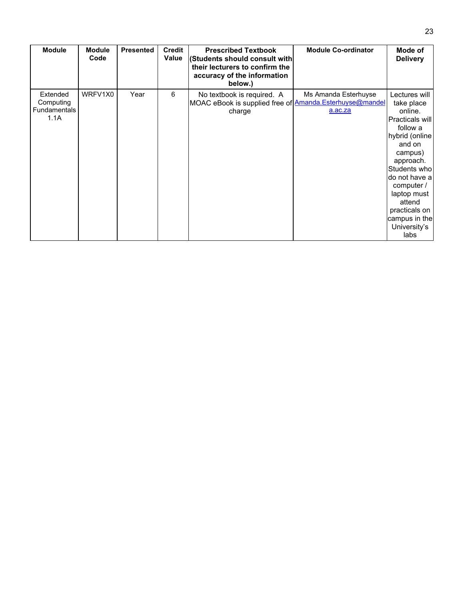| <b>Module</b>                                 | <b>Module</b><br>Code | <b>Presented</b> | <b>Credit</b><br>Value | <b>Prescribed Textbook</b><br>(Students should consult with<br>their lecturers to confirm the<br>accuracy of the information<br>below.) | <b>Module Co-ordinator</b>      | Mode of<br><b>Delivery</b>                                                                                                                                                                                                                                  |
|-----------------------------------------------|-----------------------|------------------|------------------------|-----------------------------------------------------------------------------------------------------------------------------------------|---------------------------------|-------------------------------------------------------------------------------------------------------------------------------------------------------------------------------------------------------------------------------------------------------------|
| Extended<br>Computing<br>Fundamentals<br>1.1A | WRFV1X0               | Year             | 6                      | No textbook is required. A<br>MOAC eBook is supplied free of <b>Amanda.Esterhuyse@mandel</b><br>charge                                  | Ms Amanda Esterhuyse<br>a.ac.za | Lectures will<br>take place<br>online.<br>Practicals will<br>follow a<br>hybrid (online<br>and on<br>campus)<br>approach.<br>Students who<br>do not have a<br>computer /<br>laptop must<br>attend<br>practicals on<br>campus in the<br>University's<br>labs |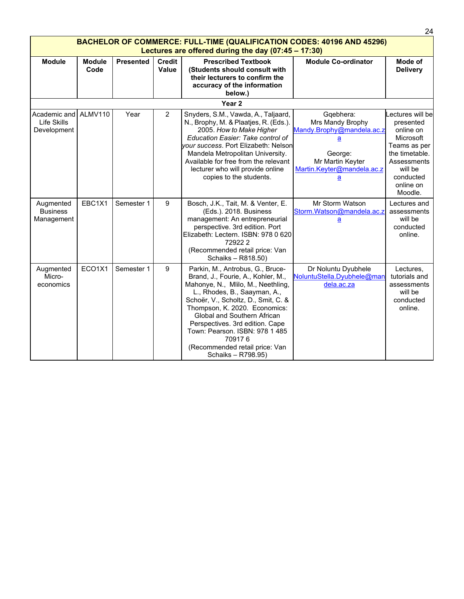|                                                                                                                                        |                       |                  |                        |                                                                                                                                                                                                                                                                                                                                                                                            |                                                                                                                                   | 24                                                                                                                                                       |  |  |  |
|----------------------------------------------------------------------------------------------------------------------------------------|-----------------------|------------------|------------------------|--------------------------------------------------------------------------------------------------------------------------------------------------------------------------------------------------------------------------------------------------------------------------------------------------------------------------------------------------------------------------------------------|-----------------------------------------------------------------------------------------------------------------------------------|----------------------------------------------------------------------------------------------------------------------------------------------------------|--|--|--|
| <b>BACHELOR OF COMMERCE: FULL-TIME (QUALIFICATION CODES: 40196 AND 45296)</b><br>Lectures are offered during the day $(07:45 - 17:30)$ |                       |                  |                        |                                                                                                                                                                                                                                                                                                                                                                                            |                                                                                                                                   |                                                                                                                                                          |  |  |  |
| <b>Module</b>                                                                                                                          | <b>Module</b><br>Code | <b>Presented</b> | <b>Credit</b><br>Value | <b>Prescribed Textbook</b><br>(Students should consult with<br>their lecturers to confirm the<br>accuracy of the information<br>below.)                                                                                                                                                                                                                                                    | <b>Module Co-ordinator</b>                                                                                                        | Mode of<br><b>Delivery</b>                                                                                                                               |  |  |  |
|                                                                                                                                        |                       |                  |                        | Year <sub>2</sub>                                                                                                                                                                                                                                                                                                                                                                          |                                                                                                                                   |                                                                                                                                                          |  |  |  |
| Academic and ALMV110<br>Life Skills<br>Development                                                                                     |                       | Year             | $\overline{2}$         | Snyders, S.M., Vawda, A., Taljaard,<br>N., Brophy, M. & Plaatjes, R. (Eds.).<br>2005. How to Make Higher<br>Education Easier: Take control of<br>your success. Port Elizabeth: Nelson<br>Mandela Metropolitan University.<br>Available for free from the relevant<br>lecturer who will provide online<br>copies to the students.                                                           | Gqebhera:<br>Mrs Mandy Brophy<br>Mandy.Brophy@mandela.ac.z<br>а<br>George:<br>Mr Martin Keyter<br>Martin.Keyter@mandela.ac.z<br>a | Lectures will be<br>presented<br>online on<br>Microsoft<br>Teams as per<br>the timetable.<br>Assessments<br>will be<br>conducted<br>online on<br>Moodle. |  |  |  |
| Augmented<br><b>Business</b><br>Management                                                                                             | EBC1X1                | Semester 1       | 9                      | Bosch, J.K., Tait, M. & Venter, E.<br>(Eds.). 2018. Business<br>management: An entrepreneurial<br>perspective. 3rd edition. Port<br>Elizabeth: Lectern. ISBN: 978 0 620<br>729222<br>(Recommended retail price: Van<br>Schaiks - R818.50)                                                                                                                                                  | Mr Storm Watson<br>Storm.Watson@mandela.ac.z<br>$\underline{a}$                                                                   | Lectures and<br>assessments<br>will be<br>conducted<br>online.                                                                                           |  |  |  |
| Augmented<br>Micro-<br>economics                                                                                                       | ECO1X1                | Semester 1       | 9                      | Parkin, M., Antrobus, G., Bruce-<br>Brand, J., Fourie, A., Kohler, M.,<br>Mahonye, N., Mlilo, M., Neethling,<br>L., Rhodes, B., Saayman, A.,<br>Schoër, V., Scholtz, D., Smit, C. &<br>Thompson, K. 2020. Economics:<br>Global and Southern African<br>Perspectives. 3rd edition. Cape<br>Town: Pearson. ISBN: 978 1 485<br>709176<br>(Recommended retail price: Van<br>Schaiks - R798.95) | Dr Noluntu Dyubhele<br>NoluntuStella.Dyubhele@man<br>dela.ac.za                                                                   | Lectures,<br>tutorials and<br>assessments<br>will be<br>conducted<br>online.                                                                             |  |  |  |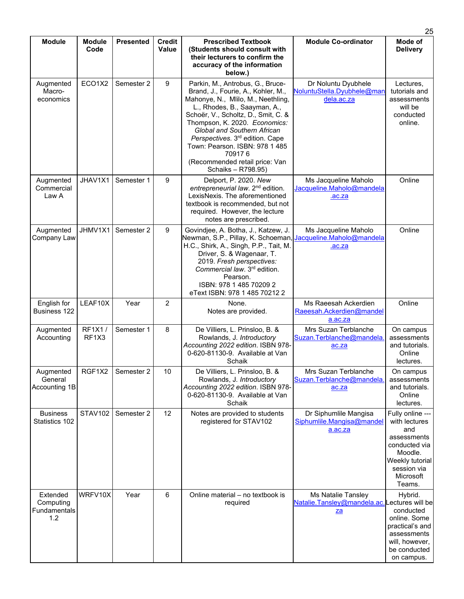|                                              |                       |                  |                               |                                                                                                                                                                                                                                                                                                                                                                                                        |                                                                                      | 25                                                                                                                                           |
|----------------------------------------------|-----------------------|------------------|-------------------------------|--------------------------------------------------------------------------------------------------------------------------------------------------------------------------------------------------------------------------------------------------------------------------------------------------------------------------------------------------------------------------------------------------------|--------------------------------------------------------------------------------------|----------------------------------------------------------------------------------------------------------------------------------------------|
| <b>Module</b>                                | <b>Module</b><br>Code | <b>Presented</b> | <b>Credit</b><br><b>Value</b> | <b>Prescribed Textbook</b><br>(Students should consult with<br>their lecturers to confirm the<br>accuracy of the information<br>below.)                                                                                                                                                                                                                                                                | <b>Module Co-ordinator</b>                                                           | Mode of<br><b>Delivery</b>                                                                                                                   |
| Augmented<br>Macro-<br>economics             | ECO1X2                | Semester 2       | 9                             | Parkin, M., Antrobus, G., Bruce-<br>Brand, J., Fourie, A., Kohler, M.,<br>Mahonye, N., Mlilo, M., Neethling,<br>L., Rhodes, B., Saayman, A.,<br>Schoër, V., Scholtz, D., Smit, C. &<br>Thompson, K. 2020. Economics:<br>Global and Southern African<br>Perspectives. 3 <sup>rd</sup> edition. Cape<br>Town: Pearson. ISBN: 978 1 485<br>709176<br>(Recommended retail price: Van<br>Schaiks - R798.95) | Dr Noluntu Dyubhele<br>NoluntuStella.Dyubhele@man<br>dela.ac.za                      | Lectures,<br>tutorials and<br>assessments<br>will be<br>conducted<br>online.                                                                 |
| Augmented<br>Commercial<br>Law A             | JHAV1X1               | Semester 1       | 9                             | Delport, P. 2020. New<br>entrepreneurial law. 2 <sup>nd</sup> edition.<br>LexisNexis. The aforementioned<br>textbook is recommended, but not<br>required. However, the lecture<br>notes are prescribed.                                                                                                                                                                                                | Ms Jacqueline Maholo<br>Jacqueline.Maholo@mandela<br>.ac.za                          | Online                                                                                                                                       |
| Augmented<br>Company Law                     | JHMV1X1               | Semester 2       | 9                             | Govindjee, A. Botha, J., Katzew, J.<br>Newman, S.P., Pillay, K. Schoeman,<br>H.C., Shirk, A., Singh, P.P., Tait, M.<br>Driver, S. & Wagenaar, T.<br>2019. Fresh perspectives:<br>Commercial law. 3rd edition.<br>Pearson.<br>ISBN: 978 1 485 70209 2<br>eText ISBN: 978 1 485 70212 2                                                                                                                  | Ms Jacqueline Maholo<br>Jacqueline.Maholo@mandela<br>.ac.za                          | Online                                                                                                                                       |
| English for<br><b>Business 122</b>           | LEAF10X               | Year             | $\overline{2}$                | None.<br>Notes are provided.                                                                                                                                                                                                                                                                                                                                                                           | Ms Raeesah Ackerdien<br>Raeesah.Ackerdien@mandel<br>a.ac.za                          | Online                                                                                                                                       |
| Augmented<br>Accounting                      | RF1X1/<br>RF1X3       | Semester 1       | 8                             | De Villiers, L. Prinsloo, B. &<br>Rowlands, J. Introductory<br>Accounting 2022 edition. ISBN 978-<br>0-620-81130-9. Available at Van<br>Schaik                                                                                                                                                                                                                                                         | Mrs Suzan Terblanche<br>Suzan.Terblanche@mandela.<br>ac.za                           | On campus<br>assessments<br>and tutorials.<br>Online<br>lectures.                                                                            |
| Augmented<br>General<br>Accounting 1B        | RGF1X2                | Semester 2       | 10                            | De Villiers, L. Prinsloo, B. &<br>Rowlands, J. Introductory<br>Accounting 2022 edition. ISBN 978-<br>0-620-81130-9. Available at Van<br>Schaik                                                                                                                                                                                                                                                         | Mrs Suzan Terblanche<br>Suzan.Terblanche@mandela.<br>ac.za                           | On campus<br>assessments<br>and tutorials.<br>Online<br>lectures.                                                                            |
| <b>Business</b><br>Statistics 102            | STAV102               | Semester 2       | 12                            | Notes are provided to students<br>registered for STAV102                                                                                                                                                                                                                                                                                                                                               | Dr Siphumlile Mangisa<br>Siphumlile.Mangisa@mandel<br>a.ac.za                        | Fully online ---<br>with lectures<br>and<br>assessments<br>conducted via<br>Moodle.<br>Weekly tutorial<br>session via<br>Microsoft<br>Teams. |
| Extended<br>Computing<br>Fundamentals<br>1.2 | WRFV10X               | Year             | 6                             | Online material - no textbook is<br>required                                                                                                                                                                                                                                                                                                                                                           | Ms Natalie Tansley<br>Natalie.Tansley@mandela.ac.Lectures will be<br>$_{\mathbb{Z}}$ | Hybrid.<br>conducted<br>online. Some<br>practical's and<br>assessments<br>will, however,<br>be conducted<br>on campus.                       |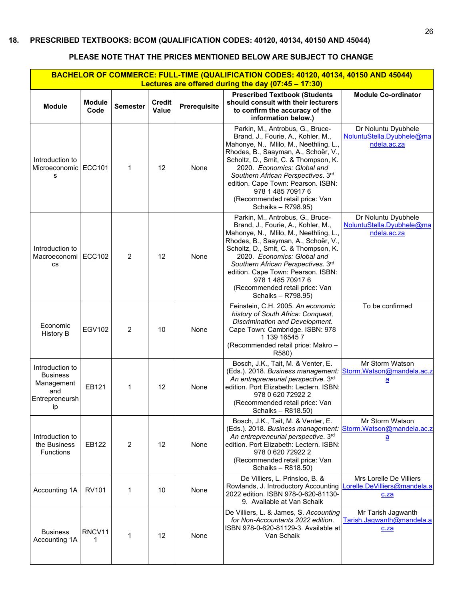<span id="page-27-0"></span>

| BACHELOR OF COMMERCE: FULL-TIME (QUALIFICATION CODES: 40120, 40134, 40150 AND 45044)<br>Lectures are offered during the day (07:45 - 17:30) |                       |                 |                        |              |                                                                                                                                                                                                                                                                                                                                                                                          |                                                                         |  |  |  |
|---------------------------------------------------------------------------------------------------------------------------------------------|-----------------------|-----------------|------------------------|--------------|------------------------------------------------------------------------------------------------------------------------------------------------------------------------------------------------------------------------------------------------------------------------------------------------------------------------------------------------------------------------------------------|-------------------------------------------------------------------------|--|--|--|
| <b>Module</b>                                                                                                                               | <b>Module</b><br>Code | <b>Semester</b> | <b>Credit</b><br>Value | Prerequisite | <b>Prescribed Textbook (Students</b><br>should consult with their lecturers<br>to confirm the accuracy of the<br>information below.)                                                                                                                                                                                                                                                     | <b>Module Co-ordinator</b>                                              |  |  |  |
| Introduction to<br>Microeconomic   ECC101<br>s                                                                                              |                       | 1               | 12                     | None         | Parkin, M., Antrobus, G., Bruce-<br>Brand, J., Fourie, A., Kohler, M.,<br>Mahonye, N., Mlilo, M., Neethling, L.,<br>Rhodes, B., Saayman, A., Schoër, V.,<br>Scholtz, D., Smit, C. & Thompson, K.<br>2020. Economics: Global and<br>Southern African Perspectives. 3rd<br>edition. Cape Town: Pearson. ISBN:<br>978 1 485 70917 6<br>(Recommended retail price: Van<br>Schaiks - R798.95) | Dr Noluntu Dyubhele<br>NoluntuStella.Dyubhele@ma<br>ndela.ac.za         |  |  |  |
| Introduction to<br>Macroeconomi   ECC102<br><b>CS</b>                                                                                       |                       | 2               | 12                     | None         | Parkin, M., Antrobus, G., Bruce-<br>Brand, J., Fourie, A., Kohler, M.,<br>Mahonye, N., Mlilo, M., Neethling, L.,<br>Rhodes, B., Saayman, A., Schoër, V.,<br>Scholtz, D., Smit, C. & Thompson, K.<br>2020. Economics: Global and<br>Southern African Perspectives. 3rd<br>edition. Cape Town: Pearson. ISBN:<br>978 1 485 70917 6<br>(Recommended retail price: Van<br>Schaiks - R798.95) | Dr Noluntu Dyubhele<br>NoluntuStella.Dyubhele@ma<br>ndela.ac.za         |  |  |  |
| Economic<br><b>History B</b>                                                                                                                | <b>EGV102</b>         | 2               | 10                     | None         | Feinstein, C.H. 2005. An economic<br>history of South Africa: Conquest,<br>Discrimination and Development.<br>Cape Town: Cambridge. ISBN: 978<br>1 139 16545 7<br>(Recommended retail price: Makro -<br>R580)                                                                                                                                                                            | To be confirmed                                                         |  |  |  |
| Introduction to<br><b>Business</b><br>Management<br>and<br>Entrepreneursh<br>ip                                                             | EB121                 | 1               | 12                     | None         | Bosch, J.K., Tait, M. & Venter, E.<br>(Eds.). 2018. Business management:<br>An entrepreneurial perspective. 3rd<br>edition. Port Elizabeth: Lectern. ISBN:<br>978 0 620 72922 2<br>(Recommended retail price: Van<br>Schaiks - R818.50)                                                                                                                                                  | Mr Storm Watson<br>Storm.Watson@mandela.ac.z<br>$\overline{\mathbf{a}}$ |  |  |  |
| Introduction to<br>the Business<br><b>Functions</b>                                                                                         | EB122                 | 2               | 12                     | None         | Bosch, J.K., Tait, M. & Venter, E.<br>(Eds.). 2018. Business management:<br>An entrepreneurial perspective. 3rd<br>edition. Port Elizabeth: Lectern. ISBN:<br>978 0 620 72922 2<br>(Recommended retail price: Van<br>Schaiks - R818.50)                                                                                                                                                  | Mr Storm Watson<br>Storm.Watson@mandela.ac.z<br><u>a</u>                |  |  |  |
| Accounting 1A                                                                                                                               | <b>RV101</b>          | 1               | 10                     | None         | De Villiers, L. Prinsloo, B. &<br>Rowlands, J. Introductory Accounting<br>2022 edition. ISBN 978-0-620-81130-<br>9. Available at Van Schaik                                                                                                                                                                                                                                              | Mrs Lorelle De Villiers<br>Lorelle.DeVilliers@mandela.a<br>c.za         |  |  |  |
| <b>Business</b><br>Accounting 1A                                                                                                            | RNCV11<br>1           | 1               | 12                     | None         | De Villiers, L. & James, S. Accounting<br>for Non-Accountants 2022 edition.<br>ISBN 978-0-620-81129-3. Available at<br>Van Schaik                                                                                                                                                                                                                                                        | Mr Tarish Jagwanth<br>Tarish.Jagwanth@mandela.a<br>c.za                 |  |  |  |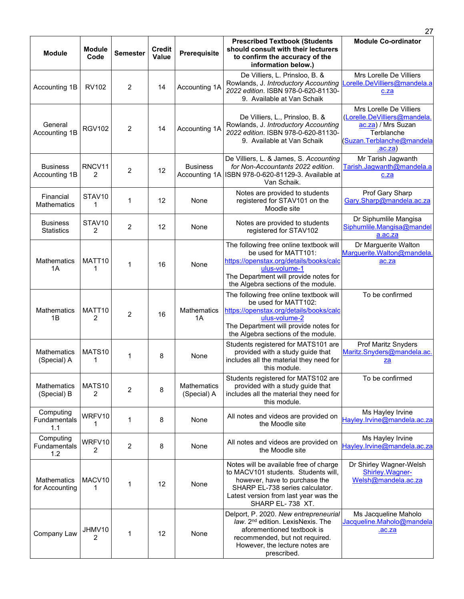| <b>Module</b>                        | <b>Module</b><br>Code                | <b>Semester</b> | <b>Credit</b><br><b>Value</b> | <b>Prerequisite</b>               | <b>Prescribed Textbook (Students</b><br>should consult with their lecturers<br>to confirm the accuracy of the<br>information below.)                                                                           | <b>Module Co-ordinator</b>                                                                                                          |
|--------------------------------------|--------------------------------------|-----------------|-------------------------------|-----------------------------------|----------------------------------------------------------------------------------------------------------------------------------------------------------------------------------------------------------------|-------------------------------------------------------------------------------------------------------------------------------------|
| Accounting 1B                        | <b>RV102</b>                         | $\overline{2}$  | 14                            | Accounting 1A                     | De Villiers, L. Prinsloo, B. &<br>Rowlands, J. Introductory Accounting<br>2022 edition. ISBN 978-0-620-81130-<br>9. Available at Van Schaik                                                                    | Mrs Lorelle De Villiers<br>orelle.DeVilliers@mandela.a<br>c.za                                                                      |
| General<br>Accounting 1B             | <b>RGV102</b>                        | $\overline{2}$  | 14                            | Accounting 1A                     | De Villiers, L., Prinsloo, B. &<br>Rowlands, J. Introductory Accounting<br>2022 edition. ISBN 978-0-620-81130-<br>9. Available at Van Schaik                                                                   | Mrs Lorelle De Villiers<br>(Lorelle.DeVilliers@mandela.<br>ac.za) / Mrs Suzan<br>Terblanche<br>(Suzan.Terblanche@mandela<br>.ac.za) |
| <b>Business</b><br>Accounting 1B     | RNCV11<br>2                          | 2               | 12                            | <b>Business</b>                   | De Villiers, L. & James, S. Accounting<br>for Non-Accountants 2022 edition.<br>Accounting 1A   ISBN 978-0-620-81129-3. Available at<br>Van Schaik.                                                             | Mr Tarish Jagwanth<br>Tarish.Jagwanth@mandela.a<br>c.za                                                                             |
| Financial<br>Mathematics             | STAV10<br>1                          | 1               | 12                            | None                              | Notes are provided to students<br>registered for STAV101 on the<br>Moodle site                                                                                                                                 | Prof Gary Sharp<br>Gary.Sharp@mandela.ac.za                                                                                         |
| <b>Business</b><br><b>Statistics</b> | STAV <sub>10</sub><br>$\overline{2}$ | 2               | 12                            | None                              | Notes are provided to students<br>registered for STAV102                                                                                                                                                       | Dr Siphumlile Mangisa<br>Siphumlile.Mangisa@mandel<br>a.ac.za                                                                       |
| <b>Mathematics</b><br>1A             | MATT <sub>10</sub><br>1              | 1               | 16                            | None                              | The following free online textbook will<br>be used for MATT101:<br>https://openstax.org/details/books/calc<br>ulus-volume-1<br>The Department will provide notes for<br>the Algebra sections of the module.    | Dr Marguerite Walton<br>Marguerite. Walton@mandela.<br>ac.za                                                                        |
| Mathematics<br>1B                    | MATT <sub>10</sub><br>2              | $\overline{2}$  | 16                            | Mathematics<br>1A                 | The following free online textbook will<br>be used for MATT102:<br>https://openstax.org/details/books/calc<br>ulus-volume-2<br>The Department will provide notes for<br>the Algebra sections of the module.    | To be confirmed                                                                                                                     |
| Mathematics<br>(Special) A           | MATS <sub>10</sub><br>1              | 1               | 8                             | None                              | Students registered for MATS101 are<br>provided with a study guide that<br>includes all the material they need for<br>this module.                                                                             | <b>Prof Maritz Snyders</b><br>Maritz.Snyders@mandela.ac.<br><u>za</u>                                                               |
| Mathematics<br>(Special) B           | MATS10<br>2                          | 2               | 8                             | <b>Mathematics</b><br>(Special) A | Students registered for MATS102 are<br>provided with a study guide that<br>includes all the material they need for<br>this module.                                                                             | To be confirmed                                                                                                                     |
| Computing<br>Fundamentals<br>1.1     | WRFV10<br>1                          | 1               | 8                             | None                              | All notes and videos are provided on<br>the Moodle site                                                                                                                                                        | Ms Hayley Irvine<br>Hayley.lrvine@mandela.ac.za                                                                                     |
| Computing<br>Fundamentals<br>1.2     | WRFV10<br>2                          | 2               | 8                             | None                              | All notes and videos are provided on<br>the Moodle site                                                                                                                                                        | Ms Hayley Irvine<br>Hayley.lrvine@mandela.ac.za                                                                                     |
| Mathematics<br>for Accounting        | MACV10<br>1                          | 1               | 12                            | None                              | Notes will be available free of charge<br>to MACV101 students. Students will,<br>however, have to purchase the<br>SHARP EL-738 series calculator.<br>Latest version from last year was the<br>SHARP EL-738 XT. | Dr Shirley Wagner-Welsh<br>Shirley. Wagner-<br>Welsh@mandela.ac.za                                                                  |
| Company Law                          | JHMV10<br>2                          | 1               | 12                            | None                              | Delport, P. 2020. New entrepreneurial<br>law. 2 <sup>nd</sup> edition. LexisNexis. The<br>aforementioned textbook is<br>recommended, but not required.<br>However, the lecture notes are<br>prescribed.        | Ms Jacqueline Maholo<br>Jacqueline.Maholo@mandela<br>.ac.za                                                                         |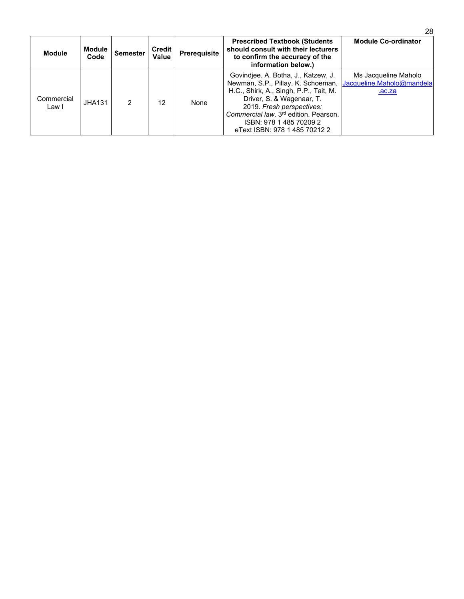| <b>Module</b>       | Module<br>Code | <b>Semester</b> | <b>Credit</b><br><b>Value</b> | <b>Prerequisite</b> | <b>Prescribed Textbook (Students)</b><br>should consult with their lecturers<br>to confirm the accuracy of the<br>information below.)                                                                                                                                                          | <b>Module Co-ordinator</b>                                  |
|---------------------|----------------|-----------------|-------------------------------|---------------------|------------------------------------------------------------------------------------------------------------------------------------------------------------------------------------------------------------------------------------------------------------------------------------------------|-------------------------------------------------------------|
| Commercial<br>Law I | <b>JHA131</b>  | 2               | 12                            | None                | Govindjee, A. Botha, J., Katzew, J.<br>Newman, S.P., Pillay, K. Schoeman,<br>H.C., Shirk, A., Singh, P.P., Tait, M.<br>Driver, S. & Wagenaar, T.<br>2019. Fresh perspectives:<br>Commercial law. 3 <sup>rd</sup> edition. Pearson.<br>ISBN: 978 1 485 70209 2<br>eText ISBN: 978 1 485 70212 2 | Ms Jacqueline Maholo<br>Jacqueline.Maholo@mandela<br>.ac.za |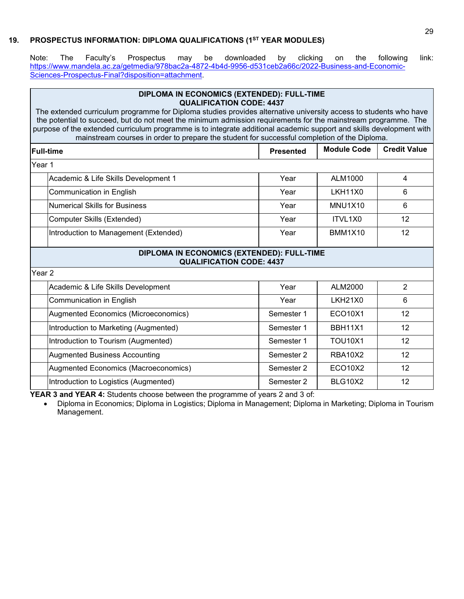# **19. PROSPECTUS INFORMATION: DIPLOMA QUALIFICATIONS (1ST YEAR MODULES)**

<span id="page-30-0"></span>Note: The Faculty's Prospectus may be downloaded by clicking on the following link: [https://www.mandela.ac.za/getmedia/978bac2a-4872-4b4d-9956-d531ceb2a66c/2022-Business-and-Economic-](https://www.mandela.ac.za/getmedia/978bac2a-4872-4b4d-9956-d531ceb2a66c/2022-Business-and-Economic-Sciences-Prospectus-Final?disposition=attachment)[Sciences-Prospectus-Final?disposition=attachment.](https://www.mandela.ac.za/getmedia/978bac2a-4872-4b4d-9956-d531ceb2a66c/2022-Business-and-Economic-Sciences-Prospectus-Final?disposition=attachment)

| DIPLOMA IN ECONOMICS (EXTENDED): FULL-TIME<br><b>QUALIFICATION CODE: 4437</b>                                                                                                                                                                                                                                                                                                                                                                               |                                 |                                            |  |  |  |  |  |
|-------------------------------------------------------------------------------------------------------------------------------------------------------------------------------------------------------------------------------------------------------------------------------------------------------------------------------------------------------------------------------------------------------------------------------------------------------------|---------------------------------|--------------------------------------------|--|--|--|--|--|
| The extended curriculum programme for Diploma studies provides alternative university access to students who have<br>the potential to succeed, but do not meet the minimum admission requirements for the mainstream programme. The<br>purpose of the extended curriculum programme is to integrate additional academic support and skills development with<br>mainstream courses in order to prepare the student for successful completion of the Diploma. |                                 |                                            |  |  |  |  |  |
| <b>Presented</b>                                                                                                                                                                                                                                                                                                                                                                                                                                            | <b>Module Code</b>              | <b>Credit Value</b>                        |  |  |  |  |  |
|                                                                                                                                                                                                                                                                                                                                                                                                                                                             |                                 |                                            |  |  |  |  |  |
| Year                                                                                                                                                                                                                                                                                                                                                                                                                                                        | ALM1000                         | 4                                          |  |  |  |  |  |
| Year                                                                                                                                                                                                                                                                                                                                                                                                                                                        | LKH11X0                         | 6                                          |  |  |  |  |  |
| Year                                                                                                                                                                                                                                                                                                                                                                                                                                                        | MNU1X10                         | 6                                          |  |  |  |  |  |
| Year                                                                                                                                                                                                                                                                                                                                                                                                                                                        | ITVL1X0                         | 12                                         |  |  |  |  |  |
| Year                                                                                                                                                                                                                                                                                                                                                                                                                                                        | <b>BMM1X10</b>                  | 12                                         |  |  |  |  |  |
|                                                                                                                                                                                                                                                                                                                                                                                                                                                             |                                 |                                            |  |  |  |  |  |
|                                                                                                                                                                                                                                                                                                                                                                                                                                                             |                                 |                                            |  |  |  |  |  |
| Year                                                                                                                                                                                                                                                                                                                                                                                                                                                        | ALM2000                         | $\overline{2}$                             |  |  |  |  |  |
| Year                                                                                                                                                                                                                                                                                                                                                                                                                                                        | <b>LKH21X0</b>                  | 6                                          |  |  |  |  |  |
| Semester 1                                                                                                                                                                                                                                                                                                                                                                                                                                                  | <b>ECO10X1</b>                  | 12                                         |  |  |  |  |  |
| Semester 1                                                                                                                                                                                                                                                                                                                                                                                                                                                  | <b>BBH11X1</b>                  | 12                                         |  |  |  |  |  |
| Semester 1                                                                                                                                                                                                                                                                                                                                                                                                                                                  | <b>TOU10X1</b>                  | 12                                         |  |  |  |  |  |
| Semester 2                                                                                                                                                                                                                                                                                                                                                                                                                                                  | <b>RBA10X2</b>                  | 12                                         |  |  |  |  |  |
| Semester 2                                                                                                                                                                                                                                                                                                                                                                                                                                                  | <b>ECO10X2</b>                  | 12                                         |  |  |  |  |  |
| Semester 2                                                                                                                                                                                                                                                                                                                                                                                                                                                  | <b>BLG10X2</b>                  | 12                                         |  |  |  |  |  |
|                                                                                                                                                                                                                                                                                                                                                                                                                                                             | <b>QUALIFICATION CODE: 4437</b> | DIPLOMA IN ECONOMICS (EXTENDED): FULL-TIME |  |  |  |  |  |

**YEAR 3 and YEAR 4:** Students choose between the programme of years 2 and 3 of:

• Diploma in Economics; Diploma in Logistics; Diploma in Management; Diploma in Marketing; Diploma in Tourism Management.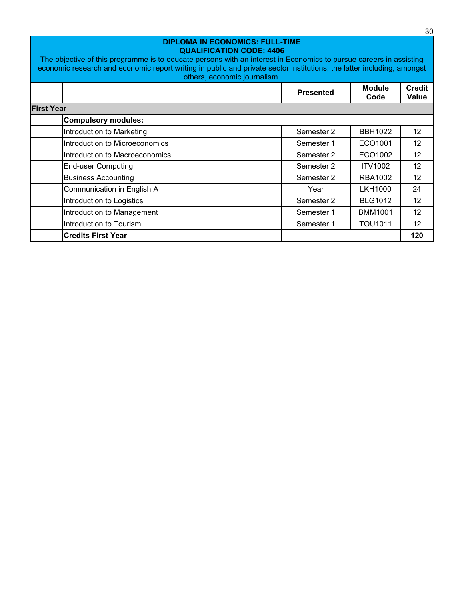| <b>DIPLOMA IN ECONOMICS: FULL-TIME</b><br><b>QUALIFICATION CODE: 4406</b><br>The objective of this programme is to educate persons with an interest in Economics to pursue careers in assisting<br>economic research and economic report writing in public and private sector institutions; the latter including, amongst<br>others, economic journalism. |  |                  |                       |                        |  |  |  |
|-----------------------------------------------------------------------------------------------------------------------------------------------------------------------------------------------------------------------------------------------------------------------------------------------------------------------------------------------------------|--|------------------|-----------------------|------------------------|--|--|--|
|                                                                                                                                                                                                                                                                                                                                                           |  | <b>Presented</b> | <b>Module</b><br>Code | <b>Credit</b><br>Value |  |  |  |
| <b>First Year</b>                                                                                                                                                                                                                                                                                                                                         |  |                  |                       |                        |  |  |  |
| <b>Compulsory modules:</b>                                                                                                                                                                                                                                                                                                                                |  |                  |                       |                        |  |  |  |
| Introduction to Marketing                                                                                                                                                                                                                                                                                                                                 |  | Semester 2       | <b>BBH1022</b>        | $12 \overline{ }$      |  |  |  |
| Introduction to Microeconomics                                                                                                                                                                                                                                                                                                                            |  | Semester 1       | ECO1001               | 12                     |  |  |  |
| Introduction to Macroeconomics                                                                                                                                                                                                                                                                                                                            |  | Semester 2       | ECO1002               | 12                     |  |  |  |
| <b>End-user Computing</b>                                                                                                                                                                                                                                                                                                                                 |  | Semester 2       | <b>ITV1002</b>        | 12                     |  |  |  |
| <b>Business Accounting</b>                                                                                                                                                                                                                                                                                                                                |  | Semester 2       | <b>RBA1002</b>        | 12                     |  |  |  |
| Communication in English A                                                                                                                                                                                                                                                                                                                                |  | Year             | LKH1000               | 24                     |  |  |  |
| Introduction to Logistics                                                                                                                                                                                                                                                                                                                                 |  | Semester 2       | <b>BLG1012</b>        | 12 <sup>2</sup>        |  |  |  |
| Introduction to Management                                                                                                                                                                                                                                                                                                                                |  | Semester 1       | <b>BMM1001</b>        | 12                     |  |  |  |
| Introduction to Tourism                                                                                                                                                                                                                                                                                                                                   |  | Semester 1       | <b>TOU1011</b>        | 12                     |  |  |  |
| <b>Credits First Year</b>                                                                                                                                                                                                                                                                                                                                 |  |                  |                       | 120                    |  |  |  |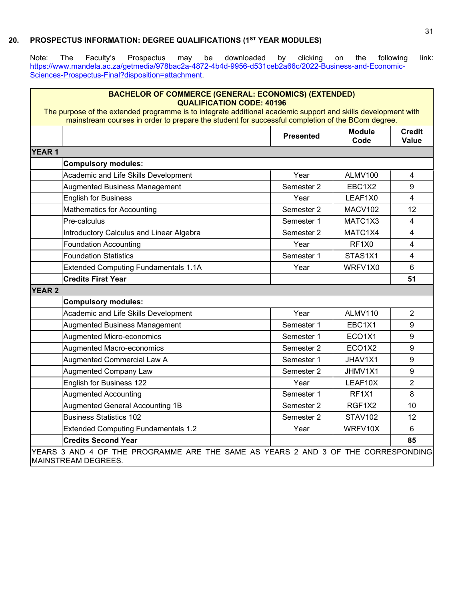# **20. PROSPECTUS INFORMATION: DEGREE QUALIFICATIONS (1ST YEAR MODULES)**

<span id="page-32-0"></span>Note: The Faculty's Prospectus may be downloaded by clicking on the following link: [https://www.mandela.ac.za/getmedia/978bac2a-4872-4b4d-9956-d531ceb2a66c/2022-Business-and-Economic-](https://www.mandela.ac.za/getmedia/978bac2a-4872-4b4d-9956-d531ceb2a66c/2022-Business-and-Economic-Sciences-Prospectus-Final?disposition=attachment)[Sciences-Prospectus-Final?disposition=attachment.](https://www.mandela.ac.za/getmedia/978bac2a-4872-4b4d-9956-d531ceb2a66c/2022-Business-and-Economic-Sciences-Prospectus-Final?disposition=attachment)

| <b>BACHELOR OF COMMERCE (GENERAL: ECONOMICS) (EXTENDED)</b><br><b>QUALIFICATION CODE: 40196</b>                                                                                                                   |                  |                       |                               |
|-------------------------------------------------------------------------------------------------------------------------------------------------------------------------------------------------------------------|------------------|-----------------------|-------------------------------|
| The purpose of the extended programme is to integrate additional academic support and skills development with<br>mainstream courses in order to prepare the student for successful completion of the BCom degree. |                  |                       |                               |
|                                                                                                                                                                                                                   | <b>Presented</b> | <b>Module</b><br>Code | <b>Credit</b><br><b>Value</b> |
| <b>YEAR 1</b>                                                                                                                                                                                                     |                  |                       |                               |
| <b>Compulsory modules:</b>                                                                                                                                                                                        |                  |                       |                               |
| Academic and Life Skills Development                                                                                                                                                                              | Year             | ALMV100               | 4                             |
| <b>Augmented Business Management</b>                                                                                                                                                                              | Semester 2       | EBC1X2                | 9                             |
| <b>English for Business</b>                                                                                                                                                                                       | Year             | LEAF1X0               | 4                             |
| Mathematics for Accounting                                                                                                                                                                                        | Semester 2       | MACV102               | 12                            |
| Pre-calculus                                                                                                                                                                                                      | Semester 1       | MATC1X3               | 4                             |
| Introductory Calculus and Linear Algebra                                                                                                                                                                          | Semester 2       | MATC1X4               | 4                             |
| <b>Foundation Accounting</b>                                                                                                                                                                                      | Year             | RF1X0                 | $\overline{4}$                |
| <b>Foundation Statistics</b>                                                                                                                                                                                      | Semester 1       | STAS1X1               | 4                             |
| <b>Extended Computing Fundamentals 1.1A</b>                                                                                                                                                                       | Year             | WRFV1X0               | 6                             |
| <b>Credits First Year</b>                                                                                                                                                                                         |                  |                       | 51                            |
| <b>YEAR 2</b>                                                                                                                                                                                                     |                  |                       |                               |
| <b>Compulsory modules:</b>                                                                                                                                                                                        |                  |                       |                               |
| Academic and Life Skills Development                                                                                                                                                                              | Year             | ALMV110               | $\overline{2}$                |
| <b>Augmented Business Management</b>                                                                                                                                                                              | Semester 1       | EBC <sub>1X1</sub>    | 9                             |
| <b>Augmented Micro-economics</b>                                                                                                                                                                                  | Semester 1       | ECO1X1                | 9                             |
| <b>Augmented Macro-economics</b>                                                                                                                                                                                  | Semester 2       | ECO1X2                | 9                             |
| <b>Augmented Commercial Law A</b>                                                                                                                                                                                 | Semester 1       | JHAV1X1               | 9                             |
| <b>Augmented Company Law</b>                                                                                                                                                                                      | Semester 2       | JHMV1X1               | 9                             |
| English for Business 122                                                                                                                                                                                          | Year             | LEAF10X               | $\overline{2}$                |
| <b>Augmented Accounting</b>                                                                                                                                                                                       | Semester 1       | RF1X1                 | 8                             |
| <b>Augmented General Accounting 1B</b>                                                                                                                                                                            | Semester 2       | RGF <sub>1X2</sub>    | 10                            |
| <b>Business Statistics 102</b>                                                                                                                                                                                    | Semester 2       | <b>STAV102</b>        | 12 <sup>2</sup>               |
| <b>Extended Computing Fundamentals 1.2</b>                                                                                                                                                                        | Year             | WRFV10X               | 6                             |
| <b>Credits Second Year</b>                                                                                                                                                                                        |                  |                       | 85                            |

YEARS 3 AND 4 OF THE PROGRAMME ARE THE SAME AS YEARS 2 AND 3 OF THE CORRESPONDING MAINSTREAM DEGREES.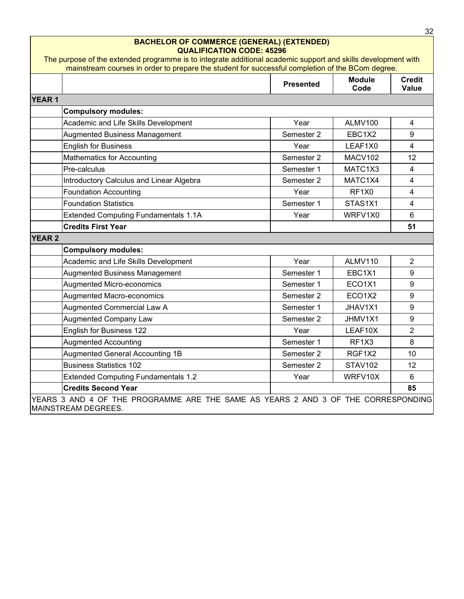|               | <b>BACHELOR OF COMMERCE (GENERAL) (EXTENDED)</b><br><b>QUALIFICATION CODE: 45296</b>                                                                                                                              |                  |                                 |                               |
|---------------|-------------------------------------------------------------------------------------------------------------------------------------------------------------------------------------------------------------------|------------------|---------------------------------|-------------------------------|
|               | The purpose of the extended programme is to integrate additional academic support and skills development with<br>mainstream courses in order to prepare the student for successful completion of the BCom degree. |                  |                                 |                               |
|               |                                                                                                                                                                                                                   | <b>Presented</b> | <b>Module</b><br>Code           | <b>Credit</b><br><b>Value</b> |
| <b>YEAR1</b>  |                                                                                                                                                                                                                   |                  |                                 |                               |
|               | <b>Compulsory modules:</b>                                                                                                                                                                                        |                  |                                 |                               |
|               | Academic and Life Skills Development                                                                                                                                                                              | Year             | ALMV100                         | 4                             |
|               | <b>Augmented Business Management</b>                                                                                                                                                                              | Semester 2       | EBC1X2                          | 9                             |
|               | <b>English for Business</b>                                                                                                                                                                                       | Year             | LEAF1X0                         | $\overline{4}$                |
|               | <b>Mathematics for Accounting</b>                                                                                                                                                                                 | Semester 2       | MACV102                         | 12                            |
|               | Pre-calculus                                                                                                                                                                                                      | Semester 1       | MATC1X3                         | $\overline{4}$                |
|               | Introductory Calculus and Linear Algebra                                                                                                                                                                          | Semester 2       | MATC1X4                         | $\overline{4}$                |
|               | <b>Foundation Accounting</b>                                                                                                                                                                                      | Year             | RF <sub>1</sub> X <sub>0</sub>  | $\overline{4}$                |
|               | <b>Foundation Statistics</b>                                                                                                                                                                                      | Semester 1       | STAS1X1                         | 4                             |
|               | <b>Extended Computing Fundamentals 1.1A</b>                                                                                                                                                                       | Year             | WRFV1X0                         | $6\phantom{1}$                |
|               | <b>Credits First Year</b>                                                                                                                                                                                         |                  |                                 | 51                            |
| <b>YEAR 2</b> |                                                                                                                                                                                                                   |                  |                                 |                               |
|               | <b>Compulsory modules:</b>                                                                                                                                                                                        |                  |                                 |                               |
|               | Academic and Life Skills Development                                                                                                                                                                              | Year             | ALMV110                         | $\overline{2}$                |
|               | <b>Augmented Business Management</b>                                                                                                                                                                              | Semester 1       | EBC <sub>1</sub> X <sub>1</sub> | 9                             |
|               | Augmented Micro-economics                                                                                                                                                                                         | Semester 1       | ECO1X1                          | 9                             |
|               | Augmented Macro-economics                                                                                                                                                                                         | Semester 2       | ECO <sub>1</sub> X <sub>2</sub> | 9                             |
|               | Augmented Commercial Law A                                                                                                                                                                                        | Semester 1       | JHAV1X1                         | $9\,$                         |
|               | <b>Augmented Company Law</b>                                                                                                                                                                                      | Semester 2       | JHMV1X1                         | 9                             |
|               | English for Business 122                                                                                                                                                                                          | Year             | LEAF10X                         | $\overline{2}$                |
|               | <b>Augmented Accounting</b>                                                                                                                                                                                       | Semester 1       | RF <sub>1</sub> X <sub>3</sub>  | 8                             |
|               | <b>Augmented General Accounting 1B</b>                                                                                                                                                                            | Semester 2       | RGF1X2                          | 10                            |
|               | <b>Business Statistics 102</b>                                                                                                                                                                                    | Semester 2       | <b>STAV102</b>                  | 12                            |
|               | <b>Extended Computing Fundamentals 1.2</b>                                                                                                                                                                        | Year             | WRFV10X                         | $6\phantom{1}$                |
|               | <b>Credits Second Year</b>                                                                                                                                                                                        |                  |                                 | 85                            |
|               |                                                                                                                                                                                                                   |                  |                                 |                               |

 $\frac{32}{ }$ 

YEARS 3 AND 4 OF THE PROGRAMME ARE THE SAME AS YEARS 2 AND 3 OF THE CORRESPONDING MAINSTREAM DEGREES.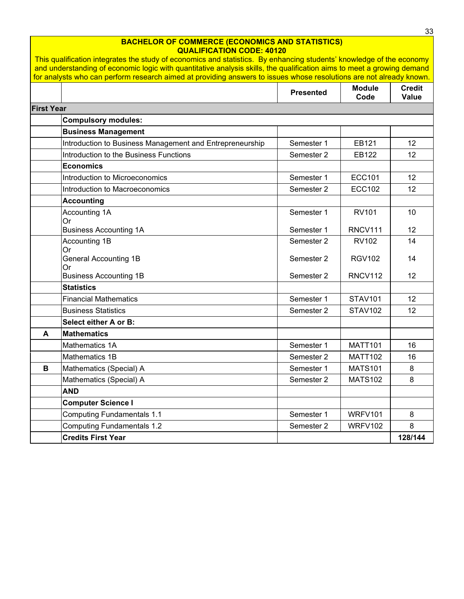#### **BACHELOR OF COMMERCE (ECONOMICS AND STATISTICS) QUALIFICATION CODE: 40120**

|                   | <u>This qualification integrates the study of economics and statistics. By enhancing students' knowledge of the economy</u><br>and understanding of economic logic with quantitative analysis skills, the qualification aims to meet a growing demand |                  |                       |                        |
|-------------------|-------------------------------------------------------------------------------------------------------------------------------------------------------------------------------------------------------------------------------------------------------|------------------|-----------------------|------------------------|
|                   | for analysts who can perform research aimed at providing answers to issues whose resolutions are not already known.                                                                                                                                   |                  |                       |                        |
|                   |                                                                                                                                                                                                                                                       | <b>Presented</b> | <b>Module</b><br>Code | <b>Credit</b><br>Value |
| <b>First Year</b> |                                                                                                                                                                                                                                                       |                  |                       |                        |
|                   | <b>Compulsory modules:</b>                                                                                                                                                                                                                            |                  |                       |                        |
|                   | <b>Business Management</b>                                                                                                                                                                                                                            |                  |                       |                        |
|                   | Introduction to Business Management and Entrepreneurship                                                                                                                                                                                              | Semester 1       | EB121                 | 12                     |
|                   | Introduction to the Business Functions                                                                                                                                                                                                                | Semester 2       | EB122                 | 12                     |
|                   | <b>Economics</b>                                                                                                                                                                                                                                      |                  |                       |                        |
|                   | Introduction to Microeconomics                                                                                                                                                                                                                        | Semester 1       | <b>ECC101</b>         | 12                     |
|                   | Introduction to Macroeconomics                                                                                                                                                                                                                        | Semester 2       | <b>ECC102</b>         | 12                     |
|                   | <b>Accounting</b>                                                                                                                                                                                                                                     |                  |                       |                        |
|                   | Accounting 1A<br>Or                                                                                                                                                                                                                                   | Semester 1       | <b>RV101</b>          | 10                     |
|                   | <b>Business Accounting 1A</b>                                                                                                                                                                                                                         | Semester 1       | <b>RNCV111</b>        | 12 <sup>2</sup>        |
|                   | Accounting 1B<br>Or                                                                                                                                                                                                                                   | Semester 2       | <b>RV102</b>          | 14                     |
|                   | <b>General Accounting 1B</b><br>Or                                                                                                                                                                                                                    | Semester 2       | <b>RGV102</b>         | 14                     |
|                   | <b>Business Accounting 1B</b>                                                                                                                                                                                                                         | Semester 2       | <b>RNCV112</b>        | 12                     |
|                   | <b>Statistics</b>                                                                                                                                                                                                                                     |                  |                       |                        |
|                   | <b>Financial Mathematics</b>                                                                                                                                                                                                                          | Semester 1       | <b>STAV101</b>        | 12                     |
|                   | <b>Business Statistics</b>                                                                                                                                                                                                                            | Semester 2       | <b>STAV102</b>        | 12 <sup>2</sup>        |
|                   | Select either A or B:                                                                                                                                                                                                                                 |                  |                       |                        |
| A                 | <b>Mathematics</b>                                                                                                                                                                                                                                    |                  |                       |                        |
|                   | Mathematics 1A                                                                                                                                                                                                                                        | Semester 1       | <b>MATT101</b>        | 16                     |
|                   | Mathematics 1B                                                                                                                                                                                                                                        | Semester 2       | <b>MATT102</b>        | 16                     |
| В                 | Mathematics (Special) A                                                                                                                                                                                                                               | Semester 1       | <b>MATS101</b>        | 8                      |
|                   | Mathematics (Special) A                                                                                                                                                                                                                               | Semester 2       | <b>MATS102</b>        | 8                      |
|                   | <b>AND</b>                                                                                                                                                                                                                                            |                  |                       |                        |
|                   | <b>Computer Science I</b>                                                                                                                                                                                                                             |                  |                       |                        |
|                   | <b>Computing Fundamentals 1.1</b>                                                                                                                                                                                                                     | Semester 1       | <b>WRFV101</b>        | 8                      |
|                   | <b>Computing Fundamentals 1.2</b>                                                                                                                                                                                                                     | Semester 2       | <b>WRFV102</b>        | 8                      |
|                   | <b>Credits First Year</b>                                                                                                                                                                                                                             |                  |                       | 128/144                |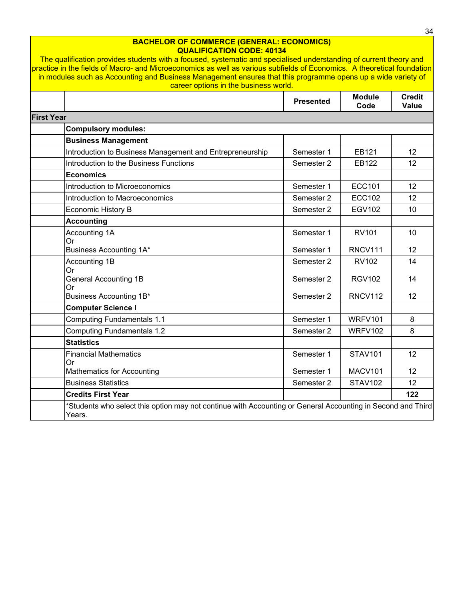#### **BACHELOR OF COMMERCE (GENERAL: ECONOMICS) QUALIFICATION CODE: 40134**

The qualification provides students with a focused, systematic and specialised understanding of current theory and practice in the fields of Macro- and Microeconomics as well as various subfields of Economics. A theoretical foundation in modules such as Accounting and Business Management ensures that this programme opens up a wide variety of career options in the business world.

|                   |                                                                                                                       | <b>Presented</b> | <b>Module</b><br>Code | <b>Credit</b><br>Value |
|-------------------|-----------------------------------------------------------------------------------------------------------------------|------------------|-----------------------|------------------------|
| <b>First Year</b> |                                                                                                                       |                  |                       |                        |
|                   | <b>Compulsory modules:</b>                                                                                            |                  |                       |                        |
|                   | <b>Business Management</b>                                                                                            |                  |                       |                        |
|                   | Introduction to Business Management and Entrepreneurship                                                              | Semester 1       | EB121                 | 12                     |
|                   | Introduction to the Business Functions                                                                                | Semester 2       | EB122                 | 12                     |
|                   | <b>Economics</b>                                                                                                      |                  |                       |                        |
|                   | Introduction to Microeconomics                                                                                        | Semester 1       | <b>ECC101</b>         | 12                     |
|                   | Introduction to Macroeconomics                                                                                        | Semester 2       | <b>ECC102</b>         | 12                     |
|                   | Economic History B                                                                                                    | Semester 2       | <b>EGV102</b>         | 10                     |
|                   | <b>Accounting</b>                                                                                                     |                  |                       |                        |
|                   | Accounting 1A<br>Or                                                                                                   | Semester 1       | <b>RV101</b>          | 10                     |
|                   | Business Accounting 1A*                                                                                               | Semester 1       | RNCV111               | 12                     |
|                   | Accounting 1B<br>Or                                                                                                   | Semester 2       | RV102                 | 14                     |
|                   | <b>General Accounting 1B</b><br>Or                                                                                    | Semester 2       | <b>RGV102</b>         | 14                     |
|                   | Business Accounting 1B*                                                                                               | Semester 2       | RNCV112               | 12                     |
|                   | <b>Computer Science I</b>                                                                                             |                  |                       |                        |
|                   | <b>Computing Fundamentals 1.1</b>                                                                                     | Semester 1       | <b>WRFV101</b>        | 8                      |
|                   | <b>Computing Fundamentals 1.2</b>                                                                                     | Semester 2       | WRFV102               | 8                      |
|                   | <b>Statistics</b>                                                                                                     |                  |                       |                        |
|                   | <b>Financial Mathematics</b><br>Or                                                                                    | Semester 1       | <b>STAV101</b>        | 12                     |
|                   | <b>Mathematics for Accounting</b>                                                                                     | Semester 1       | MACV101               | 12                     |
|                   | <b>Business Statistics</b>                                                                                            | Semester 2       | <b>STAV102</b>        | 12                     |
|                   | <b>Credits First Year</b>                                                                                             |                  |                       | 122                    |
|                   | *Students who select this option may not continue with Accounting or General Accounting in Second and Third<br>Years. |                  |                       |                        |

34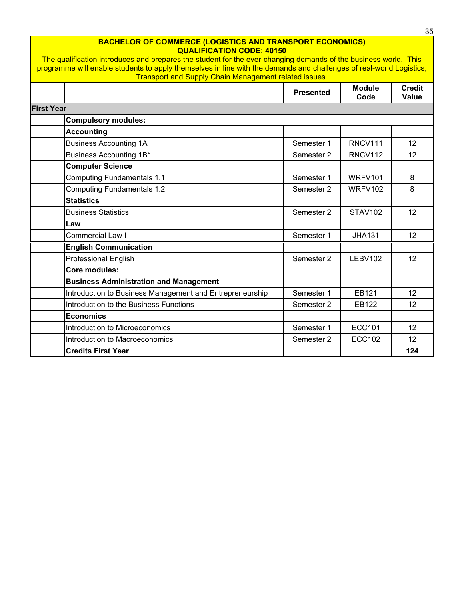|                   | <b>BACHELOR OF COMMERCE (LOGISTICS AND TRANSPORT ECONOMICS)</b><br><b>QUALIFICATION CODE: 40150</b><br>The qualification introduces and prepares the student for the ever-changing demands of the business world. This<br>programme will enable students to apply themselves in line with the demands and challenges of real-world Logistics, |                  |                       | <b>Credit</b><br><b>Value</b><br>12<br>12<br>8<br>8<br>12<br>12<br>12<br>12<br>12 |
|-------------------|-----------------------------------------------------------------------------------------------------------------------------------------------------------------------------------------------------------------------------------------------------------------------------------------------------------------------------------------------|------------------|-----------------------|-----------------------------------------------------------------------------------|
|                   | <b>Transport and Supply Chain Management related issues.</b>                                                                                                                                                                                                                                                                                  |                  |                       |                                                                                   |
|                   |                                                                                                                                                                                                                                                                                                                                               | <b>Presented</b> | <b>Module</b><br>Code |                                                                                   |
| <b>First Year</b> |                                                                                                                                                                                                                                                                                                                                               |                  |                       |                                                                                   |
|                   | <b>Compulsory modules:</b>                                                                                                                                                                                                                                                                                                                    |                  |                       |                                                                                   |
|                   | <b>Accounting</b>                                                                                                                                                                                                                                                                                                                             |                  |                       |                                                                                   |
|                   | <b>Business Accounting 1A</b>                                                                                                                                                                                                                                                                                                                 | Semester 1       | RNCV111               |                                                                                   |
|                   | Business Accounting 1B*                                                                                                                                                                                                                                                                                                                       | Semester 2       | RNCV112               |                                                                                   |
|                   | <b>Computer Science</b>                                                                                                                                                                                                                                                                                                                       |                  |                       |                                                                                   |
|                   | <b>Computing Fundamentals 1.1</b>                                                                                                                                                                                                                                                                                                             | Semester 1       | WRFV101               |                                                                                   |
|                   | <b>Computing Fundamentals 1.2</b>                                                                                                                                                                                                                                                                                                             | Semester 2       | WRFV102               |                                                                                   |
|                   | <b>Statistics</b>                                                                                                                                                                                                                                                                                                                             |                  |                       |                                                                                   |
|                   | <b>Business Statistics</b>                                                                                                                                                                                                                                                                                                                    | Semester 2       | <b>STAV102</b>        |                                                                                   |
|                   | Law                                                                                                                                                                                                                                                                                                                                           |                  |                       |                                                                                   |
|                   | <b>Commercial Law I</b>                                                                                                                                                                                                                                                                                                                       | Semester 1       | <b>JHA131</b>         |                                                                                   |
|                   | <b>English Communication</b>                                                                                                                                                                                                                                                                                                                  |                  |                       |                                                                                   |
|                   | <b>Professional English</b>                                                                                                                                                                                                                                                                                                                   | Semester 2       | LEBV102               |                                                                                   |
|                   | Core modules:                                                                                                                                                                                                                                                                                                                                 |                  |                       |                                                                                   |
|                   | <b>Business Administration and Management</b>                                                                                                                                                                                                                                                                                                 |                  |                       |                                                                                   |
|                   | Introduction to Business Management and Entrepreneurship                                                                                                                                                                                                                                                                                      | Semester 1       | EB121                 |                                                                                   |
|                   | Introduction to the Business Functions                                                                                                                                                                                                                                                                                                        | Semester 2       | EB122                 |                                                                                   |
|                   | <b>Economics</b>                                                                                                                                                                                                                                                                                                                              |                  |                       |                                                                                   |
|                   | Introduction to Microeconomics                                                                                                                                                                                                                                                                                                                | Semester 1       | <b>ECC101</b>         | 12                                                                                |
|                   | Introduction to Macroeconomics                                                                                                                                                                                                                                                                                                                | Semester 2       | <b>ECC102</b>         | 12                                                                                |
|                   | <b>Credits First Year</b>                                                                                                                                                                                                                                                                                                                     |                  |                       | 124                                                                               |

 $\frac{35}{1}$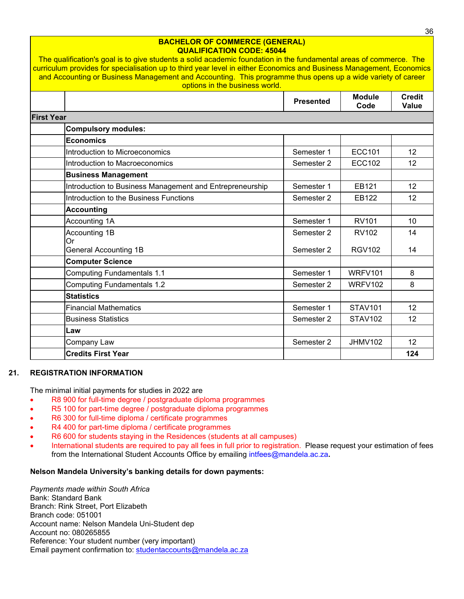|                                                          | <b>Presented</b> | <b>Module</b>       |              |  |
|----------------------------------------------------------|------------------|---------------------|--------------|--|
|                                                          |                  | Code                | <b>Value</b> |  |
| <b>First Year</b>                                        |                  |                     |              |  |
| <b>Compulsory modules:</b>                               |                  |                     |              |  |
| <b>Economics</b>                                         |                  |                     |              |  |
| Introduction to Microeconomics                           | Semester 1       | <b>ECC101</b>       | 12           |  |
| Introduction to Macroeconomics                           | Semester 2       | <b>ECC102</b>       | 12           |  |
| <b>Business Management</b>                               |                  |                     |              |  |
| Introduction to Business Management and Entrepreneurship | Semester 1       | EB121               | 12           |  |
| Introduction to the Business Functions                   | Semester 2       | EB122               | 12           |  |
| <b>Accounting</b>                                        |                  |                     |              |  |
| Accounting 1A                                            | Semester 1       | <b>RV101</b>        | 10           |  |
| Accounting 1B                                            | Semester 2       | <b>RV102</b>        | 14           |  |
| <b>Or</b><br><b>General Accounting 1B</b>                | Semester 2       | <b>RGV102</b>       | 14           |  |
| <b>Computer Science</b>                                  |                  |                     |              |  |
| <b>Computing Fundamentals 1.1</b>                        | Semester 1       | WRFV <sub>101</sub> | 8            |  |
| <b>Computing Fundamentals 1.2</b>                        | Semester 2       | WRFV102             | 8            |  |
| <b>Statistics</b>                                        |                  |                     |              |  |
| <b>Financial Mathematics</b>                             | Semester 1       | <b>STAV101</b>      | 12           |  |
| <b>Business Statistics</b>                               | Semester 2       | <b>STAV102</b>      | 12           |  |
| Law                                                      |                  |                     |              |  |
| Company Law                                              | Semester 2       | <b>JHMV102</b>      | 12           |  |
| <b>Credits First Year</b>                                |                  |                     | 124          |  |

**BACHELOR OF COMMERCE (GENERAL)** 

#### **21. REGISTRATION INFORMATION**

<span id="page-37-0"></span>The minimal initial payments for studies in 2022 are

- R8 900 for full-time degree / postgraduate diploma programmes
- R5 100 for part-time degree / postgraduate diploma programmes
- R6 300 for full-time diploma / certificate programmes
- R4 400 for part-time diploma / certificate programmes
- R6 600 for students staying in the Residences (students at all campuses)
- International students are required to pay all fees in full prior to registration. Please request your estimation of fees from the International Student Accounts Office by emailing intfees@mandela.ac.za**.**

# **Nelson Mandela University's banking details for down payments:**

*Payments made within South Africa* Bank: Standard Bank Branch: Rink Street, Port Elizabeth Branch code: 051001 Account name: Nelson Mandela Uni-Student dep Account no: 080265855 Reference: Your student number (very important) Email payment confirmation to: [studentaccounts@mandela.ac.za](mailto:studentaccounts@mandela.ac.za)